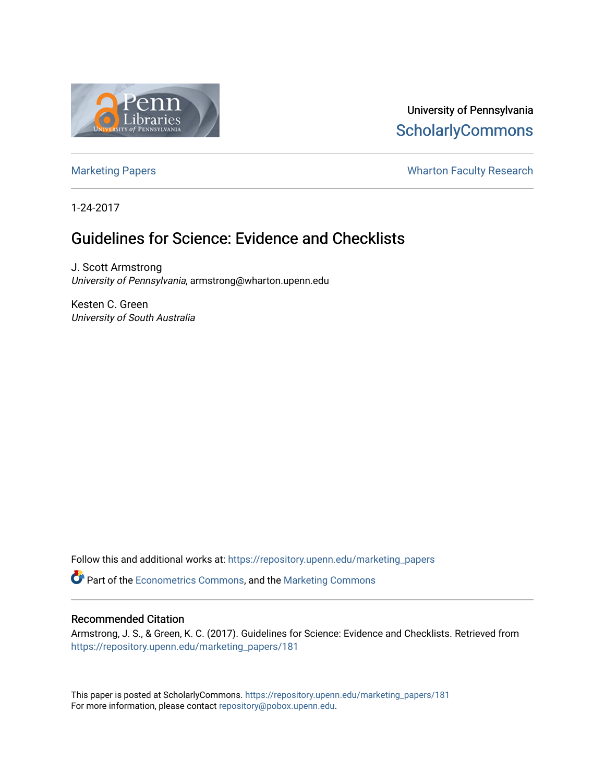

University of Pennsylvania **ScholarlyCommons** 

[Marketing Papers](https://repository.upenn.edu/marketing_papers) **Marketing Papers Marketing Papers Wharton Faculty Research** 

1-24-2017

# Guidelines for Science: Evidence and Checklists

J. Scott Armstrong University of Pennsylvania, armstrong@wharton.upenn.edu

Kesten C. Green University of South Australia

Follow this and additional works at: [https://repository.upenn.edu/marketing\\_papers](https://repository.upenn.edu/marketing_papers?utm_source=repository.upenn.edu%2Fmarketing_papers%2F181&utm_medium=PDF&utm_campaign=PDFCoverPages)

Part of the [Econometrics Commons](http://network.bepress.com/hgg/discipline/342?utm_source=repository.upenn.edu%2Fmarketing_papers%2F181&utm_medium=PDF&utm_campaign=PDFCoverPages), and the [Marketing Commons](http://network.bepress.com/hgg/discipline/638?utm_source=repository.upenn.edu%2Fmarketing_papers%2F181&utm_medium=PDF&utm_campaign=PDFCoverPages)

# Recommended Citation

Armstrong, J. S., & Green, K. C. (2017). Guidelines for Science: Evidence and Checklists. Retrieved from [https://repository.upenn.edu/marketing\\_papers/181](https://repository.upenn.edu/marketing_papers/181?utm_source=repository.upenn.edu%2Fmarketing_papers%2F181&utm_medium=PDF&utm_campaign=PDFCoverPages)

This paper is posted at ScholarlyCommons. [https://repository.upenn.edu/marketing\\_papers/181](https://repository.upenn.edu/marketing_papers/181)  For more information, please contact [repository@pobox.upenn.edu.](mailto:repository@pobox.upenn.edu)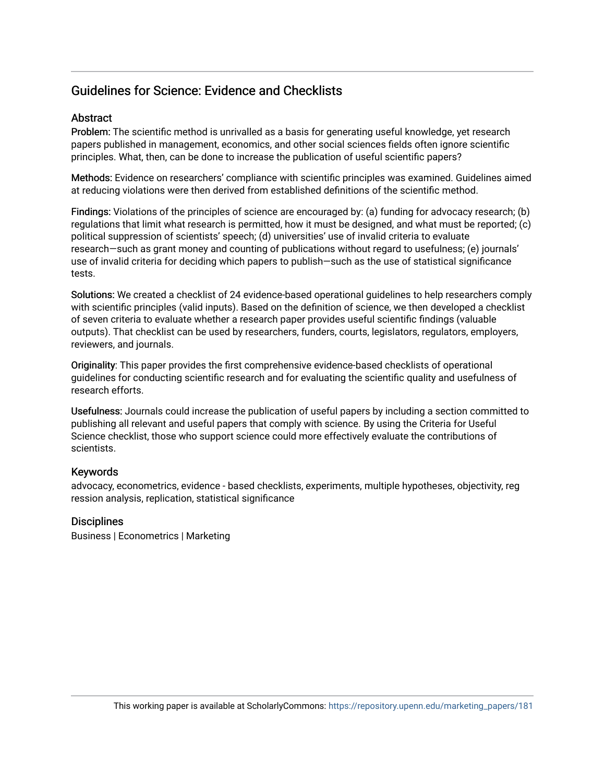# Guidelines for Science: Evidence and Checklists

# **Abstract**

Problem: The scientific method is unrivalled as a basis for generating useful knowledge, yet research papers published in management, economics, and other social sciences fields often ignore scientific principles. What, then, can be done to increase the publication of useful scientific papers?

Methods: Evidence on researchers' compliance with scientific principles was examined. Guidelines aimed at reducing violations were then derived from established definitions of the scientific method.

Findings: Violations of the principles of science are encouraged by: (a) funding for advocacy research; (b) regulations that limit what research is permitted, how it must be designed, and what must be reported; (c) political suppression of scientists' speech; (d) universities' use of invalid criteria to evaluate research—such as grant money and counting of publications without regard to usefulness; (e) journals' use of invalid criteria for deciding which papers to publish—such as the use of statistical significance tests.

Solutions: We created a checklist of 24 evidence-based operational guidelines to help researchers comply with scientific principles (valid inputs). Based on the definition of science, we then developed a checklist of seven criteria to evaluate whether a research paper provides useful scientific findings (valuable outputs). That checklist can be used by researchers, funders, courts, legislators, regulators, employers, reviewers, and journals.

Originality: This paper provides the first comprehensive evidence-based checklists of operational guidelines for conducting scientific research and for evaluating the scientific quality and usefulness of research efforts.

Usefulness: Journals could increase the publication of useful papers by including a section committed to publishing all relevant and useful papers that comply with science. By using the Criteria for Useful Science checklist, those who support science could more effectively evaluate the contributions of scientists.

# Keywords

advocacy, econometrics, evidence - based checklists, experiments, multiple hypotheses, objectivity, reg ression analysis, replication, statistical significance

# **Disciplines**

Business | Econometrics | Marketing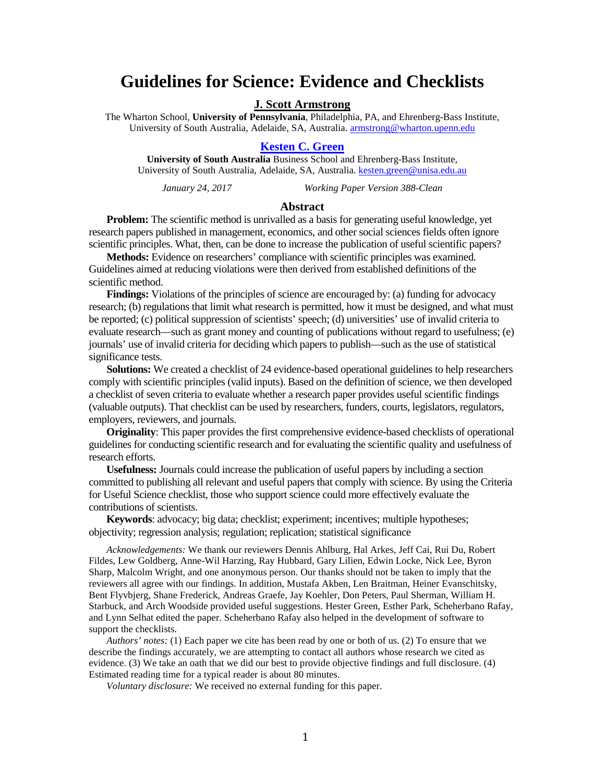# **Guidelines for Science: Evidence and Checklists**

#### **[J. Scott Armstrong](https://marketing.wharton.upenn.edu/profile/226/)**

The Wharton School, **University of Pennsylvania**, Philadelphia, PA, and Ehrenberg-Bass Institute, University of South Australia, Adelaide, SA, Australia. [armstrong@wharton.upenn.edu](mailto:armstrong@wharton.upenn.edu)

# **Kesten C. Green**

**University of South Australia** Business School and Ehrenberg-Bass Institute, University of South Australia, Adelaide, SA, Australia. [kesten.green@unisa.edu.au](mailto:kesten.green@unisa.edu.au)

*January 24, 2017 Working Paper Version 388-Clean*

#### **Abstract**

**Problem:** The scientific method is unrivalled as a basis for generating useful knowledge, yet research papers published in management, economics, and other social sciences fields often ignore scientific principles. What, then, can be done to increase the publication of useful scientific papers?

**Methods:** Evidence on researchers' compliance with scientific principles was examined. Guidelines aimed at reducing violations were then derived from established definitions of the scientific method.

**Findings:** Violations of the principles of science are encouraged by: (a) funding for advocacy research; (b) regulations that limit what research is permitted, how it must be designed, and what must be reported; (c) political suppression of scientists' speech; (d) universities' use of invalid criteria to evaluate research—such as grant money and counting of publications without regard to usefulness; (e) journals' use of invalid criteria for deciding which papers to publish—such as the use of statistical significance tests.

**Solutions:** We created a checklist of 24 evidence-based operational guidelines to help researchers comply with scientific principles (valid inputs). Based on the definition of science, we then developed a checklist of seven criteria to evaluate whether a research paper provides useful scientific findings (valuable outputs). That checklist can be used by researchers, funders, courts, legislators, regulators, employers, reviewers, and journals.

**Originality**: This paper provides the first comprehensive evidence-based checklists of operational guidelines for conducting scientific research and for evaluating the scientific quality and usefulness of research efforts.

**Usefulness:** Journals could increase the publication of useful papers by including a section committed to publishing all relevant and useful papers that comply with science. By using the Criteria for Useful Science checklist, those who support science could more effectively evaluate the contributions of scientists.

**Keywords**: advocacy; big data; checklist; experiment; incentives; multiple hypotheses; objectivity; regression analysis; regulation; replication; statistical significance

*Acknowledgements:* We thank our reviewers Dennis Ahlburg, Hal Arkes, Jeff Cai, Rui Du, Robert Fildes, Lew Goldberg, Anne-Wil Harzing, Ray Hubbard, Gary Lilien, Edwin Locke, Nick Lee, Byron Sharp, Malcolm Wright, and one anonymous person. Our thanks should not be taken to imply that the reviewers all agree with our findings. In addition, Mustafa Akben, Len Braitman, Heiner Evanschitsky, Bent Flyvbjerg, Shane Frederick, Andreas Graefe, Jay Koehler, Don Peters, Paul Sherman, William H. Starbuck, and Arch Woodside provided useful suggestions. Hester Green, Esther Park, Scheherbano Rafay, and Lynn Selhat edited the paper. Scheherbano Rafay also helped in the development of software to support the checklists.

*Authors' notes:* (1) Each paper we cite has been read by one or both of us. (2) To ensure that we describe the findings accurately, we are attempting to contact all authors whose research we cited as evidence. (3) We take an oath that we did our best to provide objective findings and full disclosure. (4) Estimated reading time for a typical reader is about 80 minutes.

*Voluntary disclosure:* We received no external funding for this paper.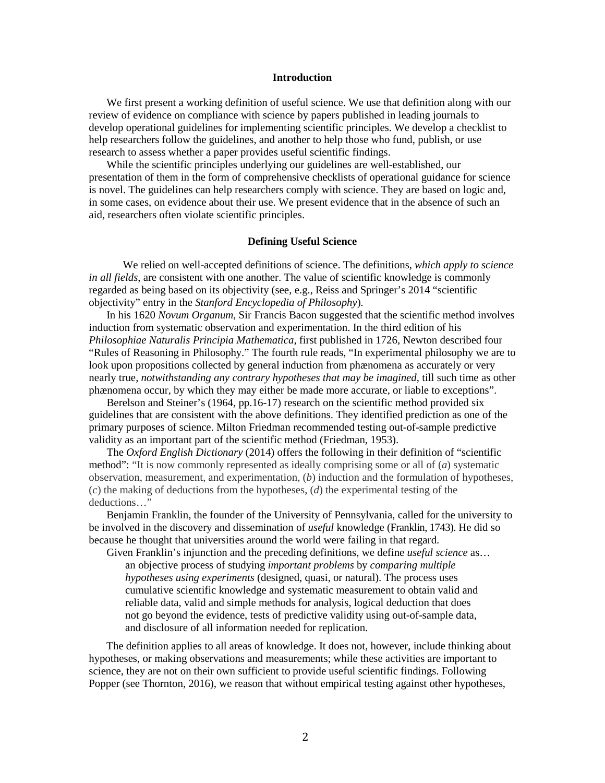#### **Introduction**

We first present a working definition of useful science. We use that definition along with our review of evidence on compliance with science by papers published in leading journals to develop operational guidelines for implementing scientific principles. We develop a checklist to help researchers follow the guidelines, and another to help those who fund, publish, or use research to assess whether a paper provides useful scientific findings.

While the scientific principles underlying our guidelines are well-established, our presentation of them in the form of comprehensive checklists of operational guidance for science is novel. The guidelines can help researchers comply with science. They are based on logic and, in some cases, on evidence about their use. We present evidence that in the absence of such an aid, researchers often violate scientific principles.

## **Defining Useful Science**

 We relied on well-accepted definitions of science. The definitions, *which apply to science in all fields*, are consistent with one another. The value of scientific knowledge is commonly regarded as being based on its objectivity (see, e.g., Reiss and Springer's 2014 "scientific objectivity" entry in the *Stanford Encyclopedia of Philosophy*)*.*

In his 1620 *Novum Organum*, Sir Francis Bacon suggested that the scientific method involves induction from systematic observation and experimentation. In the third edition of his *Philosophiae Naturalis Principia Mathematica*, first published in 1726, Newton described four "Rules of Reasoning in Philosophy." The fourth rule reads, "In experimental philosophy we are to look upon propositions collected by general induction from phænomena as accurately or very nearly true, *notwithstanding any contrary hypotheses that may be imagined*, till such time as other phænomena occur, by which they may either be made more accurate, or liable to exceptions".

Berelson and Steiner's (1964, pp.16-17) research on the scientific method provided six guidelines that are consistent with the above definitions. They identified prediction as one of the primary purposes of science. Milton Friedman recommended testing out-of-sample predictive validity as an important part of the scientific method (Friedman, 1953).

The *Oxford English Dictionary* (2014) offers the following in their definition of "scientific method": "It is now commonly represented as ideally comprising some or all of (*a*) systematic observation, measurement, and experimentation, (*b*) induction and the formulation of hypotheses, (*c*) the making of deductions from the hypotheses, (*d*) the experimental testing of the deductions…"

Benjamin Franklin, the founder of the University of Pennsylvania, called for the university to be involved in the discovery and dissemination of *useful* knowledge (Franklin, 1743). He did so because he thought that universities around the world were failing in that regard.

Given Franklin's injunction and the preceding definitions, we define *useful science* as… an objective process of studying *important problems* by *comparing multiple hypotheses using experiments* (designed, quasi, or natural)*.* The process uses cumulative scientific knowledge and systematic measurement to obtain valid and reliable data, valid and simple methods for analysis, logical deduction that does not go beyond the evidence, tests of predictive validity using out-of-sample data, and disclosure of all information needed for replication.

The definition applies to all areas of knowledge. It does not, however, include thinking about hypotheses, or making observations and measurements; while these activities are important to science, they are not on their own sufficient to provide useful scientific findings. Following Popper (see Thornton, 2016), we reason that without empirical testing against other hypotheses,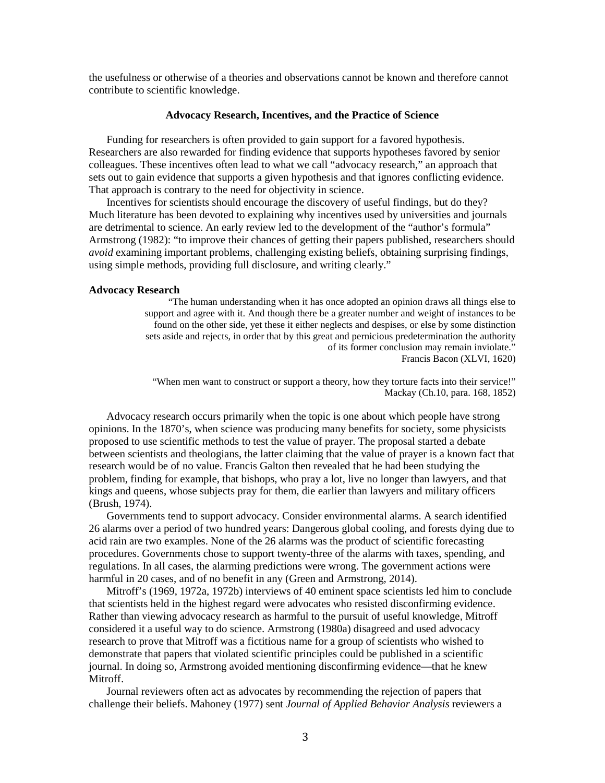the usefulness or otherwise of a theories and observations cannot be known and therefore cannot contribute to scientific knowledge.

#### **Advocacy Research, Incentives, and the Practice of Science**

Funding for researchers is often provided to gain support for a favored hypothesis. Researchers are also rewarded for finding evidence that supports hypotheses favored by senior colleagues. These incentives often lead to what we call "advocacy research," an approach that sets out to gain evidence that supports a given hypothesis and that ignores conflicting evidence. That approach is contrary to the need for objectivity in science.

Incentives for scientists should encourage the discovery of useful findings, but do they? Much literature has been devoted to explaining why incentives used by universities and journals are detrimental to science. An early review led to the development of the "author's formula" Armstrong (1982): "to improve their chances of getting their papers published, researchers should *avoid* examining important problems, challenging existing beliefs, obtaining surprising findings, using simple methods, providing full disclosure, and writing clearly."

#### **Advocacy Research**

"The human understanding when it has once adopted an opinion draws all things else to support and agree with it. And though there be a greater number and weight of instances to be found on the other side, yet these it either neglects and despises, or else by some distinction sets aside and rejects, in order that by this great and pernicious predetermination the authority of its former conclusion may remain inviolate." Francis Bacon (XLVI, 1620)

"When men want to construct or support a theory, how they torture facts into their service!" Mackay (Ch.10, para. 168, 1852)

Advocacy research occurs primarily when the topic is one about which people have strong opinions. In the 1870's, when science was producing many benefits for society, some physicists proposed to use scientific methods to test the value of prayer. The proposal started a debate between scientists and theologians, the latter claiming that the value of prayer is a known fact that research would be of no value. Francis Galton then revealed that he had been studying the problem, finding for example, that bishops, who pray a lot, live no longer than lawyers, and that kings and queens, whose subjects pray for them, die earlier than lawyers and military officers (Brush, 1974).

Governments tend to support advocacy. Consider environmental alarms. A search identified 26 alarms over a period of two hundred years: Dangerous global cooling, and forests dying due to acid rain are two examples. None of the 26 alarms was the product of scientific forecasting procedures. Governments chose to support twenty-three of the alarms with taxes, spending, and regulations. In all cases, the alarming predictions were wrong. The government actions were harmful in 20 cases, and of no benefit in any (Green and Armstrong, 2014).

Mitroff's (1969, 1972a, 1972b) interviews of 40 eminent space scientists led him to conclude that scientists held in the highest regard were advocates who resisted disconfirming evidence. Rather than viewing advocacy research as harmful to the pursuit of useful knowledge, Mitroff considered it a useful way to do science. Armstrong (1980a) disagreed and used advocacy research to prove that Mitroff was a fictitious name for a group of scientists who wished to demonstrate that papers that violated scientific principles could be published in a scientific journal. In doing so, Armstrong avoided mentioning disconfirming evidence—that he knew Mitroff.

Journal reviewers often act as advocates by recommending the rejection of papers that challenge their beliefs. Mahoney (1977) sent *Journal of Applied Behavior Analysis* reviewers a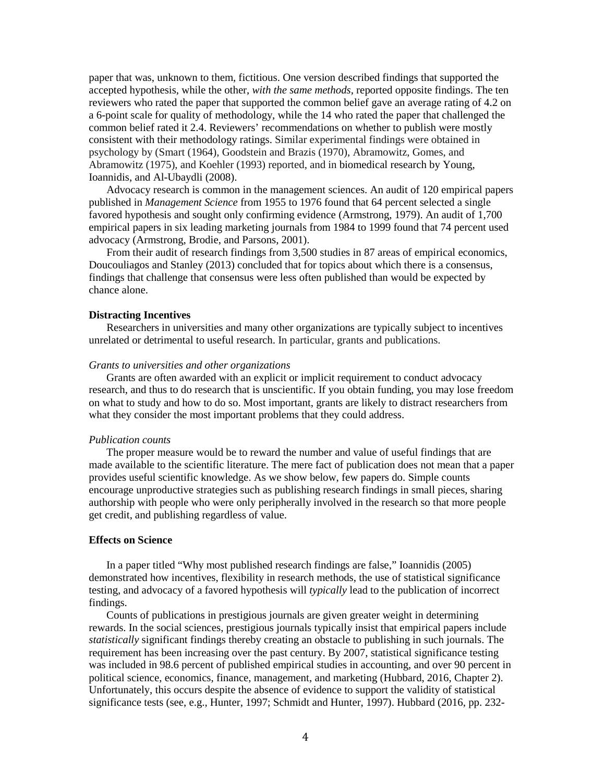paper that was, unknown to them, fictitious. One version described findings that supported the accepted hypothesis, while the other, *with the same methods*, reported opposite findings. The ten reviewers who rated the paper that supported the common belief gave an average rating of 4.2 on a 6-point scale for quality of methodology, while the 14 who rated the paper that challenged the common belief rated it 2.4. Reviewers' recommendations on whether to publish were mostly consistent with their methodology ratings. Similar experimental findings were obtained in psychology by (Smart (1964), Goodstein and Brazis (1970), Abramowitz, Gomes, and Abramowitz (1975), and Koehler (1993) reported, and in biomedical research by Young, Ioannidis, and Al-Ubaydli (2008).

Advocacy research is common in the management sciences. An audit of 120 empirical papers published in *Management Science* from 1955 to 1976 found that 64 percent selected a single favored hypothesis and sought only confirming evidence (Armstrong, 1979). An audit of 1,700 empirical papers in six leading marketing journals from 1984 to 1999 found that 74 percent used advocacy (Armstrong, Brodie, and Parsons, 2001).

From their audit of research findings from 3,500 studies in 87 areas of empirical economics, Doucouliagos and Stanley (2013) concluded that for topics about which there is a consensus, findings that challenge that consensus were less often published than would be expected by chance alone.

#### **Distracting Incentives**

Researchers in universities and many other organizations are typically subject to incentives unrelated or detrimental to useful research. In particular, grants and publications.

#### *Grants to universities and other organizations*

Grants are often awarded with an explicit or implicit requirement to conduct advocacy research, and thus to do research that is unscientific. If you obtain funding, you may lose freedom on what to study and how to do so. Most important, grants are likely to distract researchers from what they consider the most important problems that they could address.

#### *Publication counts*

The proper measure would be to reward the number and value of useful findings that are made available to the scientific literature. The mere fact of publication does not mean that a paper provides useful scientific knowledge. As we show below, few papers do. Simple counts encourage unproductive strategies such as publishing research findings in small pieces, sharing authorship with people who were only peripherally involved in the research so that more people get credit, and publishing regardless of value.

#### **Effects on Science**

In a paper titled "Why most published research findings are false," Ioannidis (2005) demonstrated how incentives, flexibility in research methods, the use of statistical significance testing, and advocacy of a favored hypothesis will *typically* lead to the publication of incorrect findings.

Counts of publications in prestigious journals are given greater weight in determining rewards. In the social sciences, prestigious journals typically insist that empirical papers include *statistically* significant findings thereby creating an obstacle to publishing in such journals. The requirement has been increasing over the past century. By 2007, statistical significance testing was included in 98.6 percent of published empirical studies in accounting, and over 90 percent in political science, economics, finance, management, and marketing (Hubbard, 2016, Chapter 2). Unfortunately, this occurs despite the absence of evidence to support the validity of statistical significance tests (see, e.g., Hunter, 1997; Schmidt and Hunter, 1997). Hubbard (2016, pp. 232-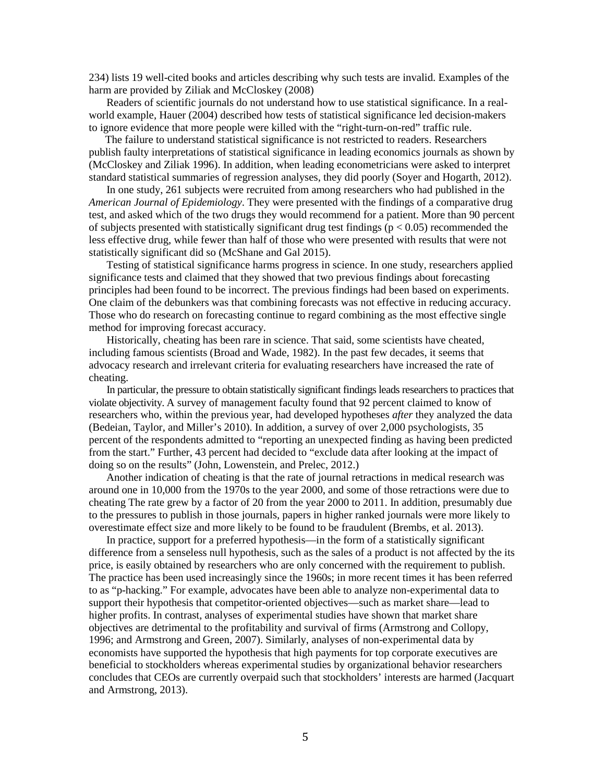234) lists 19 well-cited books and articles describing why such tests are invalid. Examples of the harm are provided by Ziliak and McCloskey (2008)

Readers of scientific journals do not understand how to use statistical significance. In a realworld example, Hauer (2004) described how tests of statistical significance led decision-makers to ignore evidence that more people were killed with the "right-turn-on-red" traffic rule.

 The failure to understand statistical significance is not restricted to readers. Researchers publish faulty interpretations of statistical significance in leading economics journals as shown by (McCloskey and Ziliak 1996). In addition, when leading econometricians were asked to interpret standard statistical summaries of regression analyses, they did poorly (Soyer and Hogarth, 2012).

In one study, 261 subjects were recruited from among researchers who had published in the *American Journal of Epidemiology*. They were presented with the findings of a comparative drug test, and asked which of the two drugs they would recommend for a patient. More than 90 percent of subjects presented with statistically significant drug test findings ( $p < 0.05$ ) recommended the less effective drug, while fewer than half of those who were presented with results that were not statistically significant did so (McShane and Gal 2015).

Testing of statistical significance harms progress in science. In one study, researchers applied significance tests and claimed that they showed that two previous findings about forecasting principles had been found to be incorrect. The previous findings had been based on experiments. One claim of the debunkers was that combining forecasts was not effective in reducing accuracy. Those who do research on forecasting continue to regard combining as the most effective single method for improving forecast accuracy.

Historically, cheating has been rare in science. That said, some scientists have cheated, including famous scientists (Broad and Wade, 1982). In the past few decades, it seems that advocacy research and irrelevant criteria for evaluating researchers have increased the rate of cheating.

In particular, the pressure to obtain statistically significant findings leads researchers to practices that violate objectivity. A survey of management faculty found that 92 percent claimed to know of researchers who, within the previous year, had developed hypotheses *after* they analyzed the data (Bedeian, Taylor, and Miller's 2010). In addition, a survey of over 2,000 psychologists, 35 percent of the respondents admitted to "reporting an unexpected finding as having been predicted from the start." Further, 43 percent had decided to "exclude data after looking at the impact of doing so on the results" (John, Lowenstein, and Prelec, 2012.)

Another indication of cheating is that the rate of journal retractions in medical research was around one in 10,000 from the 1970s to the year 2000, and some of those retractions were due to cheating The rate grew by a factor of 20 from the year 2000 to 2011. In addition, presumably due to the pressures to publish in those journals, papers in higher ranked journals were more likely to overestimate effect size and more likely to be found to be fraudulent (Brembs, et al. 2013).

In practice, support for a preferred hypothesis—in the form of a statistically significant difference from a senseless null hypothesis, such as the sales of a product is not affected by the its price, is easily obtained by researchers who are only concerned with the requirement to publish. The practice has been used increasingly since the 1960s; in more recent times it has been referred to as "p-hacking." For example, advocates have been able to analyze non-experimental data to support their hypothesis that competitor-oriented objectives—such as market share—lead to higher profits. In contrast, analyses of experimental studies have shown that market share objectives are detrimental to the profitability and survival of firms (Armstrong and Collopy, 1996; and Armstrong and Green, 2007). Similarly, analyses of non-experimental data by economists have supported the hypothesis that high payments for top corporate executives are beneficial to stockholders whereas experimental studies by organizational behavior researchers concludes that CEOs are currently overpaid such that stockholders' interests are harmed (Jacquart and Armstrong, 2013).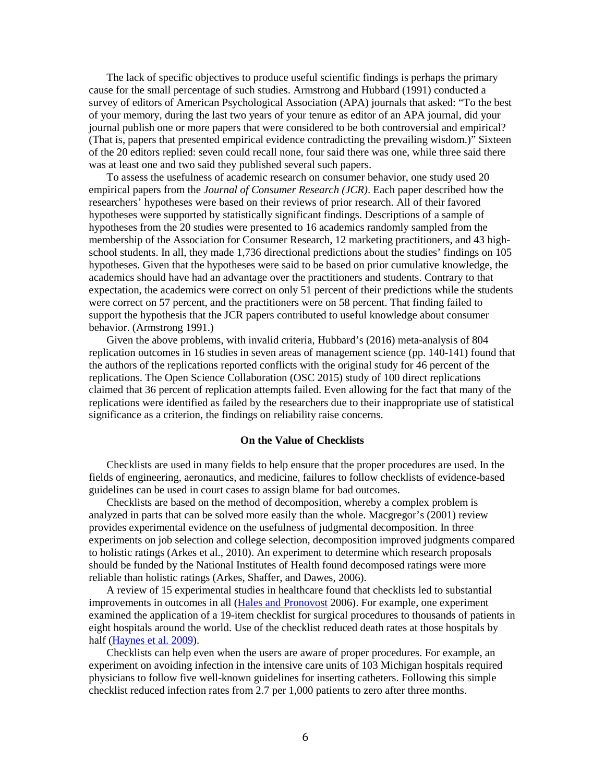The lack of specific objectives to produce useful scientific findings is perhaps the primary cause for the small percentage of such studies. Armstrong and Hubbard (1991) conducted a survey of editors of American Psychological Association (APA) journals that asked: "To the best of your memory, during the last two years of your tenure as editor of an APA journal, did your journal publish one or more papers that were considered to be both controversial and empirical? (That is, papers that presented empirical evidence contradicting the prevailing wisdom.)" Sixteen of the 20 editors replied: seven could recall none, four said there was one, while three said there was at least one and two said they published several such papers.

To assess the usefulness of academic research on consumer behavior, one study used 20 empirical papers from the *Journal of Consumer Research (JCR)*. Each paper described how the researchers' hypotheses were based on their reviews of prior research. All of their favored hypotheses were supported by statistically significant findings. Descriptions of a sample of hypotheses from the 20 studies were presented to 16 academics randomly sampled from the membership of the Association for Consumer Research, 12 marketing practitioners, and 43 highschool students. In all, they made 1,736 directional predictions about the studies' findings on 105 hypotheses. Given that the hypotheses were said to be based on prior cumulative knowledge, the academics should have had an advantage over the practitioners and students. Contrary to that expectation, the academics were correct on only 51 percent of their predictions while the students were correct on 57 percent, and the practitioners were on 58 percent. That finding failed to support the hypothesis that the JCR papers contributed to useful knowledge about consumer behavior. (Armstrong 1991.)

Given the above problems, with invalid criteria, Hubbard's (2016) meta-analysis of 804 replication outcomes in 16 studies in seven areas of management science (pp. 140-141) found that the authors of the replications reported conflicts with the original study for 46 percent of the replications. The Open Science Collaboration (OSC 2015) study of 100 direct replications claimed that 36 percent of replication attempts failed. Even allowing for the fact that many of the replications were identified as failed by the researchers due to their inappropriate use of statistical significance as a criterion, the findings on reliability raise concerns.

## **On the Value of Checklists**

Checklists are used in many fields to help ensure that the proper procedures are used. In the fields of engineering, aeronautics, and medicine, failures to follow checklists of evidence-based guidelines can be used in court cases to assign blame for bad outcomes.

Checklists are based on the method of decomposition, whereby a complex problem is analyzed in parts that can be solved more easily than the whole. Macgregor's (2001) review provides experimental evidence on the usefulness of judgmental decomposition. In three experiments on job selection and college selection, decomposition improved judgments compared to holistic ratings (Arkes et al., 2010). An experiment to determine which research proposals should be funded by the National Institutes of Health found decomposed ratings were more reliable than holistic ratings (Arkes, Shaffer, and Dawes, 2006).

A review of 15 experimental studies in healthcare found that checklists led to substantial improvements in outcomes in all [\(Hales and Pronovost](http://www.jccjournal.org/article/S0883-9441%2806%2900081-5/abstract) 2006). For example, one experiment examined the application of a 19-item checklist for surgical procedures to thousands of patients in eight hospitals around the world. Use of the checklist reduced death rates at those hospitals by half [\(Haynes et al. 2009\)](http://cdrwww.who.int/patientsafety/safesurgery/Surgical_Safety_Checklist.pdf).

Checklists can help even when the users are aware of proper procedures. For example, an experiment on avoiding infection in the intensive care units of 103 Michigan hospitals required physicians to follow five well-known guidelines for inserting catheters. Following this simple checklist reduced infection rates from 2.7 per 1,000 patients to zero after three months.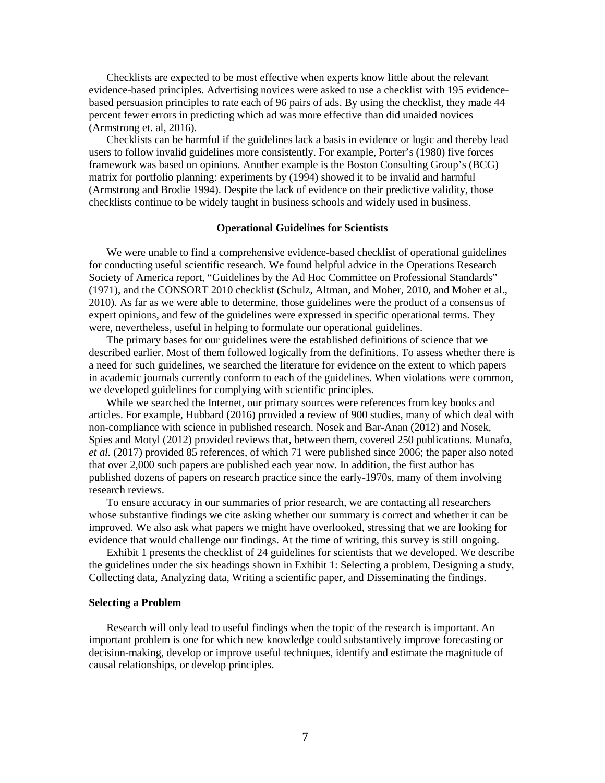Checklists are expected to be most effective when experts know little about the relevant evidence-based principles. Advertising novices were asked to use a checklist with 195 evidencebased persuasion principles to rate each of 96 pairs of ads. By using the checklist, they made 44 percent fewer errors in predicting which ad was more effective than did unaided novices (Armstrong et. al, 2016).

Checklists can be harmful if the guidelines lack a basis in evidence or logic and thereby lead users to follow invalid guidelines more consistently. For example, Porter's (1980) five forces framework was based on opinions. Another example is the Boston Consulting Group's (BCG) matrix for portfolio planning: experiments by (1994) showed it to be invalid and harmful (Armstrong and Brodie 1994). Despite the lack of evidence on their predictive validity, those checklists continue to be widely taught in business schools and widely used in business.

### **Operational Guidelines for Scientists**

We were unable to find a comprehensive evidence-based checklist of operational guidelines for conducting useful scientific research. We found helpful advice in the Operations Research Society of America report, "Guidelines by the Ad Hoc Committee on Professional Standards" (1971), and the CONSORT 2010 checklist (Schulz, Altman, and Moher, 2010, and Moher et al., 2010). As far as we were able to determine, those guidelines were the product of a consensus of expert opinions, and few of the guidelines were expressed in specific operational terms. They were, nevertheless, useful in helping to formulate our operational guidelines.

The primary bases for our guidelines were the established definitions of science that we described earlier. Most of them followed logically from the definitions. To assess whether there is a need for such guidelines, we searched the literature for evidence on the extent to which papers in academic journals currently conform to each of the guidelines. When violations were common, we developed guidelines for complying with scientific principles.

While we searched the Internet, our primary sources were references from key books and articles. For example, Hubbard (2016) provided a review of 900 studies, many of which deal with non-compliance with science in published research. Nosek and Bar-Anan (2012) and Nosek, Spies and Motyl (2012) provided reviews that, between them, covered 250 publications. Munafo, *et al.* (2017) provided 85 references, of which 71 were published since 2006; the paper also noted that over 2,000 such papers are published each year now. In addition, the first author has published dozens of papers on research practice since the early-1970s, many of them involving research reviews.

To ensure accuracy in our summaries of prior research, we are contacting all researchers whose substantive findings we cite asking whether our summary is correct and whether it can be improved. We also ask what papers we might have overlooked, stressing that we are looking for evidence that would challenge our findings. At the time of writing, this survey is still ongoing.

Exhibit 1 presents the checklist of 24 guidelines for scientists that we developed. We describe the guidelines under the six headings shown in Exhibit 1: Selecting a problem, Designing a study, Collecting data, Analyzing data, Writing a scientific paper, and Disseminating the findings.

#### **Selecting a Problem**

Research will only lead to useful findings when the topic of the research is important. An important problem is one for which new knowledge could substantively improve forecasting or decision-making, develop or improve useful techniques, identify and estimate the magnitude of causal relationships, or develop principles.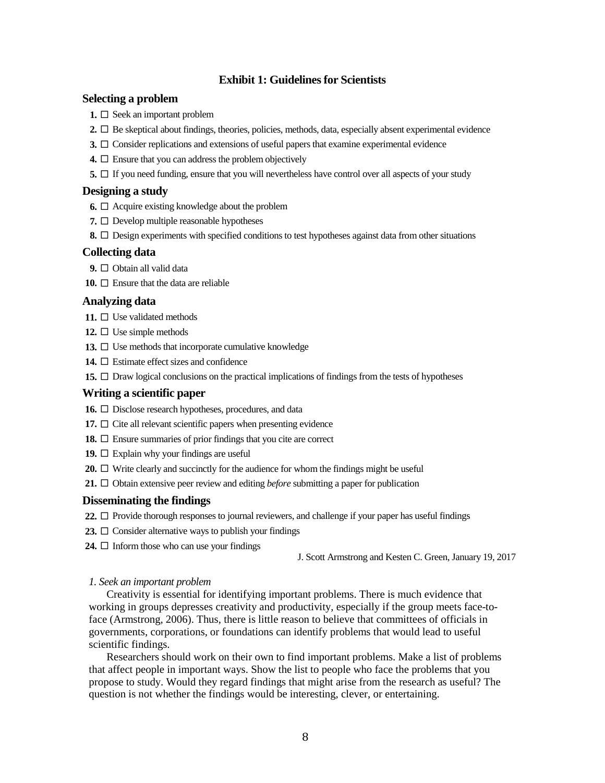# **Exhibit 1: Guidelines for Scientists**

#### **Selecting a problem**

- **1.**  $\square$  Seek an important problem
- **2.** □ Be skeptical about findings, theories, policies, methods, data, especially absent experimental evidence
- **3.** □ Consider replications and extensions of useful papers that examine experimental evidence
- **4.**  $\Box$  Ensure that you can address the problem objectively
- **5.** □ If you need funding, ensure that you will nevertheless have control over all aspects of your study

#### **Designing a study**

- **6.**  $\Box$  Acquire existing knowledge about the problem
- **7.**  $\Box$  Develop multiple reasonable hypotheses
- 8. □ Design experiments with specified conditions to test hypotheses against data from other situations

#### **Collecting data**

- **9.** □ Obtain all valid data
- **10.** □ Ensure that the data are reliable

#### **Analyzing data**

**11.**  $\Box$  Use validated methods

- **12.**  $\Box$  Use simple methods
- **13.**  $\Box$  Use methods that incorporate cumulative knowledge
- **14.** □ Estimate effect sizes and confidence
- **15.** □ Draw logical conclusions on the practical implications of findings from the tests of hypotheses

#### **Writing a scientific paper**

- **16.** □ Disclose research hypotheses, procedures, and data
- **17.**  $\Box$  Cite all relevant scientific papers when presenting evidence
- **18.** □ Ensure summaries of prior findings that you cite are correct
- **19.**  $\Box$  Explain why your findings are useful
- **20.**  $\Box$  Write clearly and succinctly for the audience for whom the findings might be useful
- **21.** □ Obtain extensive peer review and editing *before* submitting a paper for publication

#### **Disseminating the findings**

- **22.**  $\Box$  Provide thorough responses to journal reviewers, and challenge if your paper has useful findings
- **23.**  $\Box$  Consider alternative ways to publish your findings
- **24.**  $\Box$  Inform those who can use your findings

J. Scott Armstrong and Kesten C. Green, January 19, 2017

#### *1. Seek an important problem*

Creativity is essential for identifying important problems. There is much evidence that working in groups depresses creativity and productivity, especially if the group meets face-toface (Armstrong, 2006). Thus, there is little reason to believe that committees of officials in governments, corporations, or foundations can identify problems that would lead to useful scientific findings.

Researchers should work on their own to find important problems. Make a list of problems that affect people in important ways. Show the list to people who face the problems that you propose to study. Would they regard findings that might arise from the research as useful? The question is not whether the findings would be interesting, clever, or entertaining.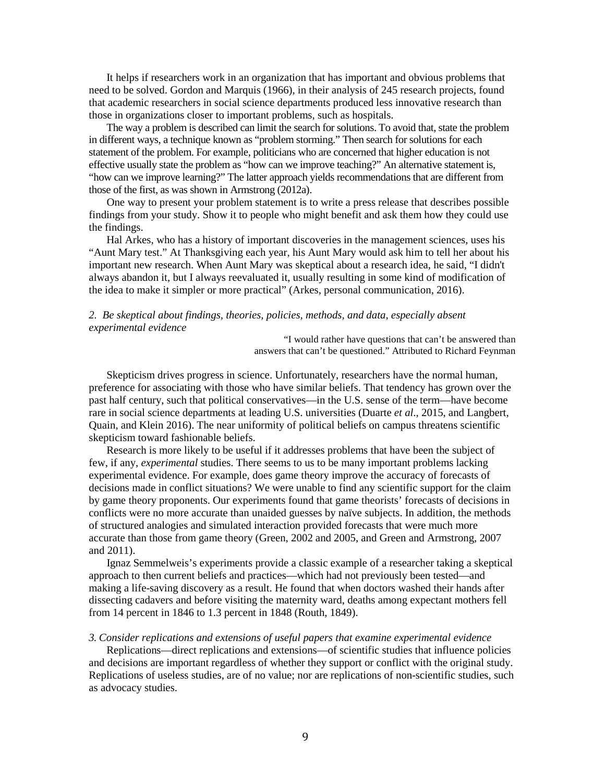It helps if researchers work in an organization that has important and obvious problems that need to be solved. Gordon and Marquis (1966), in their analysis of 245 research projects, found that academic researchers in social science departments produced less innovative research than those in organizations closer to important problems, such as hospitals.

The way a problem is described can limit the search for solutions. To avoid that, state the problem in different ways, a technique known as "problem storming." Then search for solutions for each statement of the problem. For example, politicians who are concerned that higher education is not effective usually state the problem as "how can we improve teaching?" An alternative statement is, "how can we improve learning?" The latter approach yields recommendations that are different from those of the first, as was shown in Armstrong (2012a).

One way to present your problem statement is to write a press release that describes possible findings from your study. Show it to people who might benefit and ask them how they could use the findings.

Hal Arkes, who has a history of important discoveries in the management sciences, uses his "Aunt Mary test." At Thanksgiving each year, his Aunt Mary would ask him to tell her about his important new research. When Aunt Mary was skeptical about a research idea, he said, "I didn't always abandon it, but I always reevaluated it, usually resulting in some kind of modification of the idea to make it simpler or more practical" (Arkes, personal communication, 2016).

## *2. Be skeptical about findings, theories, policies, methods, and data, especially absent experimental evidence*

"I would rather have questions that can't be answered than answers that can't be questioned." Attributed to Richard Feynman

Skepticism drives progress in science. Unfortunately, researchers have the normal human, preference for associating with those who have similar beliefs. That tendency has grown over the past half century, such that political conservatives—in the U.S. sense of the term—have become rare in social science departments at leading U.S. universities (Duarte *et al*., 2015, and Langbert, Quain, and Klein 2016). The near uniformity of political beliefs on campus threatens scientific skepticism toward fashionable beliefs.

Research is more likely to be useful if it addresses problems that have been the subject of few, if any, *experimental* studies. There seems to us to be many important problems lacking experimental evidence. For example, does game theory improve the accuracy of forecasts of decisions made in conflict situations? We were unable to find any scientific support for the claim by game theory proponents. Our experiments found that game theorists' forecasts of decisions in conflicts were no more accurate than unaided guesses by naïve subjects. In addition, the methods of structured analogies and simulated interaction provided forecasts that were much more accurate than those from game theory (Green, 2002 and 2005, and Green and Armstrong, 2007 and 2011).

Ignaz Semmelweis's experiments provide a classic example of a researcher taking a skeptical approach to then current beliefs and practices—which had not previously been tested—and making a life-saving discovery as a result. He found that when doctors washed their hands after dissecting cadavers and before visiting the maternity ward, deaths among expectant mothers fell from 14 percent in 1846 to 1.3 percent in 1848 (Routh, 1849).

#### *3. Consider replications and extensions of useful papers that examine experimental evidence*

Replications—direct replications and extensions—of scientific studies that influence policies and decisions are important regardless of whether they support or conflict with the original study. Replications of useless studies, are of no value; nor are replications of non-scientific studies, such as advocacy studies.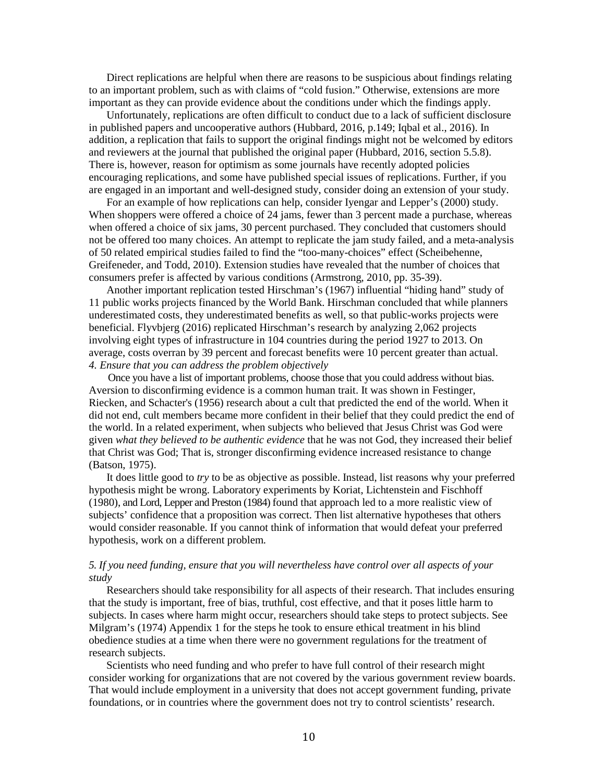Direct replications are helpful when there are reasons to be suspicious about findings relating to an important problem, such as with claims of "cold fusion." Otherwise, extensions are more important as they can provide evidence about the conditions under which the findings apply.

Unfortunately, replications are often difficult to conduct due to a lack of sufficient disclosure in published papers and uncooperative authors (Hubbard, 2016, p.149; Iqbal et al., 2016). In addition, a replication that fails to support the original findings might not be welcomed by editors and reviewers at the journal that published the original paper (Hubbard, 2016, section 5.5.8). There is, however, reason for optimism as some journals have recently adopted policies encouraging replications, and some have published special issues of replications. Further, if you are engaged in an important and well-designed study, consider doing an extension of your study.

For an example of how replications can help, consider Iyengar and Lepper's (2000) study. When shoppers were offered a choice of 24 jams, fewer than 3 percent made a purchase, whereas when offered a choice of six jams, 30 percent purchased. They concluded that customers should not be offered too many choices. An attempt to replicate the jam study failed, and a meta-analysis of 50 related empirical studies failed to find the "too-many-choices" effect (Scheibehenne, Greifeneder, and Todd, 2010). Extension studies have revealed that the number of choices that consumers prefer is affected by various conditions (Armstrong, 2010, pp. 35-39).

Another important replication tested Hirschman's (1967) influential "hiding hand" study of 11 public works projects financed by the World Bank. Hirschman concluded that while planners underestimated costs, they underestimated benefits as well, so that public-works projects were beneficial. Flyvbjerg (2016) replicated Hirschman's research by analyzing 2,062 projects involving eight types of infrastructure in 104 countries during the period 1927 to 2013. On average, costs overran by 39 percent and forecast benefits were 10 percent greater than actual. *4. Ensure that you can address the problem objectively* 

Once you have a list of important problems, choose those that you could address without bias. Aversion to disconfirming evidence is a common human trait. It was shown in Festinger, Riecken, and Schacter's (1956) research about a cult that predicted the end of the world. When it did not end, cult members became more confident in their belief that they could predict the end of the world. In a related experiment, when subjects who believed that Jesus Christ was God were given *what they believed to be authentic evidence* that he was not God, they increased their belief that Christ was God; That is, stronger disconfirming evidence increased resistance to change (Batson, 1975).

It does little good to *try* to be as objective as possible. Instead, list reasons why your preferred hypothesis might be wrong. Laboratory experiments by Koriat, Lichtenstein and Fischhoff (1980), and Lord, Lepper and Preston (1984) found that approach led to a more realistic view of subjects' confidence that a proposition was correct. Then list alternative hypotheses that others would consider reasonable. If you cannot think of information that would defeat your preferred hypothesis, work on a different problem.

# *5. If you need funding, ensure that you will nevertheless have control over all aspects of your study*

Researchers should take responsibility for all aspects of their research. That includes ensuring that the study is important, free of bias, truthful, cost effective, and that it poses little harm to subjects. In cases where harm might occur, researchers should take steps to protect subjects. See Milgram's (1974) Appendix 1 for the steps he took to ensure ethical treatment in his blind obedience studies at a time when there were no government regulations for the treatment of research subjects.

Scientists who need funding and who prefer to have full control of their research might consider working for organizations that are not covered by the various government review boards. That would include employment in a university that does not accept government funding, private foundations, or in countries where the government does not try to control scientists' research.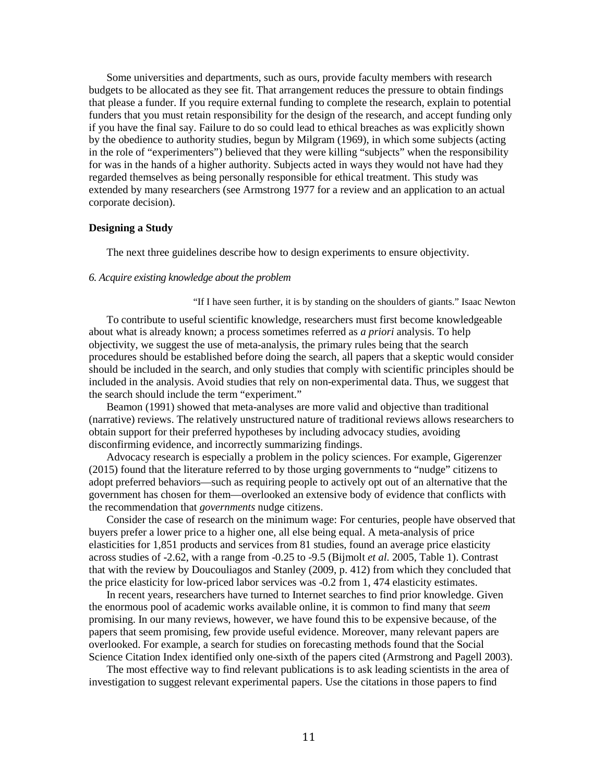Some universities and departments, such as ours, provide faculty members with research budgets to be allocated as they see fit. That arrangement reduces the pressure to obtain findings that please a funder. If you require external funding to complete the research, explain to potential funders that you must retain responsibility for the design of the research, and accept funding only if you have the final say. Failure to do so could lead to ethical breaches as was explicitly shown by the obedience to authority studies, begun by Milgram (1969), in which some subjects (acting in the role of "experimenters") believed that they were killing "subjects" when the responsibility for was in the hands of a higher authority. Subjects acted in ways they would not have had they regarded themselves as being personally responsible for ethical treatment. This study was extended by many researchers (see Armstrong 1977 for a review and an application to an actual corporate decision).

### **Designing a Study**

The next three guidelines describe how to design experiments to ensure objectivity.

#### *6. Acquire existing knowledge about the problem*

#### "If I have seen further, it is by standing on the shoulders of giants." Isaac Newton

To contribute to useful scientific knowledge, researchers must first become knowledgeable about what is already known; a process sometimes referred as *a priori* analysis. To help objectivity, we suggest the use of meta-analysis, the primary rules being that the search procedures should be established before doing the search, all papers that a skeptic would consider should be included in the search, and only studies that comply with scientific principles should be included in the analysis. Avoid studies that rely on non-experimental data. Thus, we suggest that the search should include the term "experiment."

Beamon (1991) showed that meta-analyses are more valid and objective than traditional (narrative) reviews. The relatively unstructured nature of traditional reviews allows researchers to obtain support for their preferred hypotheses by including advocacy studies, avoiding disconfirming evidence, and incorrectly summarizing findings.

Advocacy research is especially a problem in the policy sciences. For example, Gigerenzer (2015) found that the literature referred to by those urging governments to "nudge" citizens to adopt preferred behaviors—such as requiring people to actively opt out of an alternative that the government has chosen for them—overlooked an extensive body of evidence that conflicts with the recommendation that *governments* nudge citizens.

Consider the case of research on the minimum wage: For centuries, people have observed that buyers prefer a lower price to a higher one, all else being equal. A meta-analysis of price elasticities for 1,851 products and services from 81 studies, found an average price elasticity across studies of -2.62, with a range from -0.25 to -9.5 (Bijmolt *et al.* 2005, Table 1). Contrast that with the review by Doucouliagos and Stanley (2009, p. 412) from which they concluded that the price elasticity for low-priced labor services was -0.2 from 1, 474 elasticity estimates.

In recent years, researchers have turned to Internet searches to find prior knowledge. Given the enormous pool of academic works available online, it is common to find many that *seem* promising. In our many reviews, however, we have found this to be expensive because, of the papers that seem promising, few provide useful evidence. Moreover, many relevant papers are overlooked. For example, a search for studies on forecasting methods found that the Social Science Citation Index identified only one-sixth of the papers cited (Armstrong and Pagell 2003).

The most effective way to find relevant publications is to ask leading scientists in the area of investigation to suggest relevant experimental papers. Use the citations in those papers to find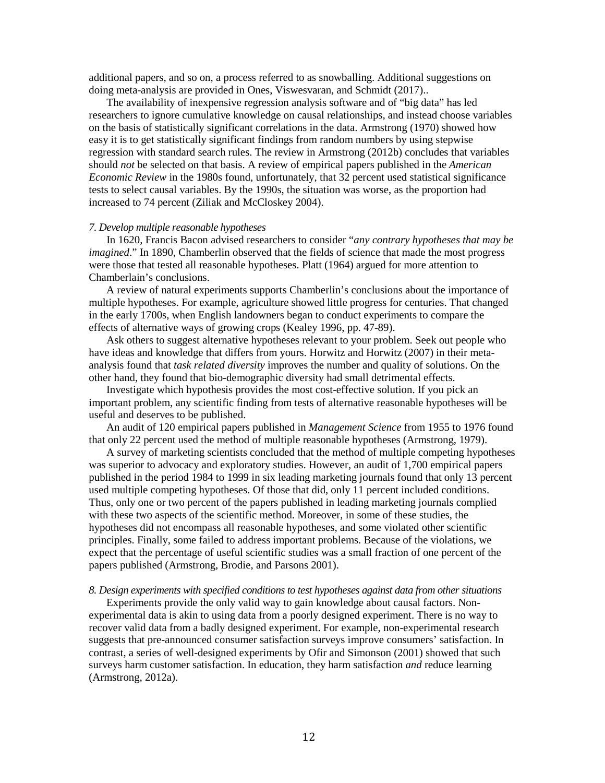additional papers, and so on, a process referred to as snowballing. Additional suggestions on doing meta-analysis are provided in Ones, Viswesvaran, and Schmidt (2017)..

The availability of inexpensive regression analysis software and of "big data" has led researchers to ignore cumulative knowledge on causal relationships, and instead choose variables on the basis of statistically significant correlations in the data. Armstrong (1970) showed how easy it is to get statistically significant findings from random numbers by using stepwise regression with standard search rules. The review in Armstrong (2012b) concludes that variables should *not* be selected on that basis. A review of empirical papers published in the *American Economic Review* in the 1980s found, unfortunately, that 32 percent used statistical significance tests to select causal variables. By the 1990s, the situation was worse, as the proportion had increased to 74 percent (Ziliak and McCloskey 2004).

#### *7. Develop multiple reasonable hypotheses*

In 1620, Francis Bacon advised researchers to consider "*any contrary hypotheses that may be imagined*." In 1890, Chamberlin observed that the fields of science that made the most progress were those that tested all reasonable hypotheses. Platt (1964) argued for more attention to Chamberlain's conclusions.

A review of natural experiments supports Chamberlin's conclusions about the importance of multiple hypotheses. For example, agriculture showed little progress for centuries. That changed in the early 1700s, when English landowners began to conduct experiments to compare the effects of alternative ways of growing crops (Kealey 1996, pp. 47-89).

Ask others to suggest alternative hypotheses relevant to your problem. Seek out people who have ideas and knowledge that differs from yours. Horwitz and Horwitz (2007) in their metaanalysis found that *task related diversity* improves the number and quality of solutions. On the other hand, they found that bio-demographic diversity had small detrimental effects.

Investigate which hypothesis provides the most cost-effective solution. If you pick an important problem, any scientific finding from tests of alternative reasonable hypotheses will be useful and deserves to be published.

An audit of 120 empirical papers published in *Management Science* from 1955 to 1976 found that only 22 percent used the method of multiple reasonable hypotheses (Armstrong, 1979).

A survey of marketing scientists concluded that the method of multiple competing hypotheses was superior to advocacy and exploratory studies. However, an audit of 1,700 empirical papers published in the period 1984 to 1999 in six leading marketing journals found that only 13 percent used multiple competing hypotheses. Of those that did, only 11 percent included conditions. Thus, only one or two percent of the papers published in leading marketing journals complied with these two aspects of the scientific method. Moreover, in some of these studies, the hypotheses did not encompass all reasonable hypotheses, and some violated other scientific principles. Finally, some failed to address important problems. Because of the violations, we expect that the percentage of useful scientific studies was a small fraction of one percent of the papers published (Armstrong, Brodie, and Parsons 2001).

#### *8. Design experiments with specified conditions to test hypotheses against data from other situations*

Experiments provide the only valid way to gain knowledge about causal factors. Nonexperimental data is akin to using data from a poorly designed experiment. There is no way to recover valid data from a badly designed experiment. For example, non-experimental research suggests that pre-announced consumer satisfaction surveys improve consumers' satisfaction. In contrast, a series of well-designed experiments by Ofir and Simonson (2001) showed that such surveys harm customer satisfaction. In education, they harm satisfaction *and* reduce learning (Armstrong, 2012a).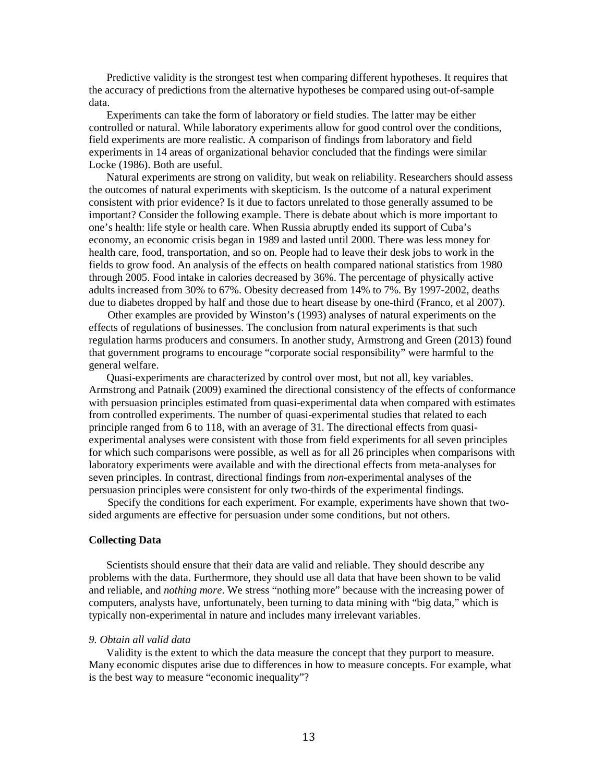Predictive validity is the strongest test when comparing different hypotheses. It requires that the accuracy of predictions from the alternative hypotheses be compared using out-of-sample data.

Experiments can take the form of laboratory or field studies. The latter may be either controlled or natural. While laboratory experiments allow for good control over the conditions, field experiments are more realistic. A comparison of findings from laboratory and field experiments in 14 areas of organizational behavior concluded that the findings were similar Locke (1986). Both are useful.

Natural experiments are strong on validity, but weak on reliability. Researchers should assess the outcomes of natural experiments with skepticism. Is the outcome of a natural experiment consistent with prior evidence? Is it due to factors unrelated to those generally assumed to be important? Consider the following example. There is debate about which is more important to one's health: life style or health care. When Russia abruptly ended its support of Cuba's economy, an economic crisis began in 1989 and lasted until 2000. There was less money for health care, food, transportation, and so on. People had to leave their desk jobs to work in the fields to grow food. An analysis of the effects on health compared national statistics from 1980 through 2005. Food intake in calories decreased by 36%. The percentage of physically active adults increased from 30% to 67%. Obesity decreased from 14% to 7%. By 1997-2002, deaths due to diabetes dropped by half and those due to heart disease by one-third (Franco, et al 2007).

Other examples are provided by Winston's (1993) analyses of natural experiments on the effects of regulations of businesses. The conclusion from natural experiments is that such regulation harms producers and consumers. In another study, Armstrong and Green (2013) found that government programs to encourage "corporate social responsibility" were harmful to the general welfare.

Quasi-experiments are characterized by control over most, but not all, key variables. Armstrong and Patnaik (2009) examined the directional consistency of the effects of conformance with persuasion principles estimated from quasi-experimental data when compared with estimates from controlled experiments. The number of quasi-experimental studies that related to each principle ranged from 6 to 118, with an average of 31. The directional effects from quasiexperimental analyses were consistent with those from field experiments for all seven principles for which such comparisons were possible, as well as for all 26 principles when comparisons with laboratory experiments were available and with the directional effects from meta-analyses for seven principles. In contrast, directional findings from *non*-experimental analyses of the persuasion principles were consistent for only two-thirds of the experimental findings.

Specify the conditions for each experiment. For example, experiments have shown that twosided arguments are effective for persuasion under some conditions, but not others.

#### **Collecting Data**

Scientists should ensure that their data are valid and reliable. They should describe any problems with the data. Furthermore, they should use all data that have been shown to be valid and reliable, and *nothing more*. We stress "nothing more" because with the increasing power of computers, analysts have, unfortunately, been turning to data mining with "big data," which is typically non-experimental in nature and includes many irrelevant variables.

#### *9. Obtain all valid data*

Validity is the extent to which the data measure the concept that they purport to measure. Many economic disputes arise due to differences in how to measure concepts. For example, what is the best way to measure "economic inequality"?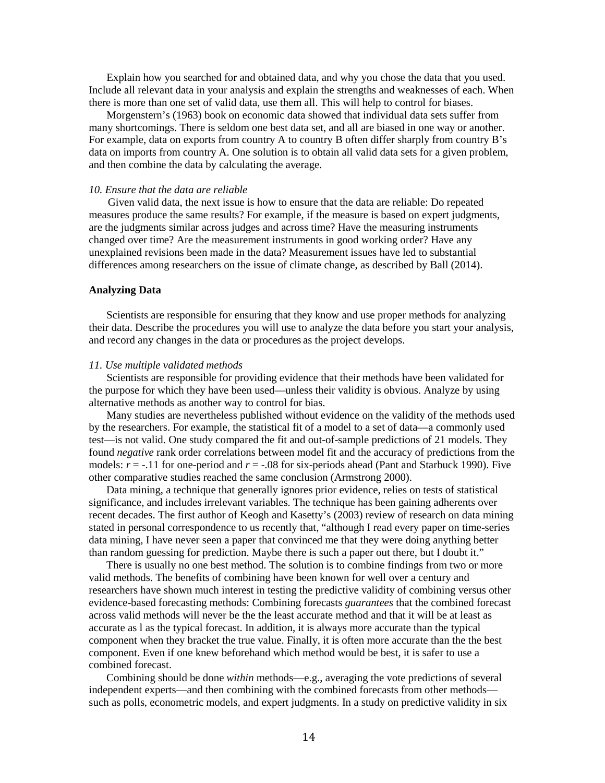Explain how you searched for and obtained data, and why you chose the data that you used. Include all relevant data in your analysis and explain the strengths and weaknesses of each. When there is more than one set of valid data, use them all. This will help to control for biases.

Morgenstern's (1963) book on economic data showed that individual data sets suffer from many shortcomings. There is seldom one best data set, and all are biased in one way or another. For example, data on exports from country A to country B often differ sharply from country B's data on imports from country A. One solution is to obtain all valid data sets for a given problem, and then combine the data by calculating the average.

#### *10. Ensure that the data are reliable*

Given valid data, the next issue is how to ensure that the data are reliable: Do repeated measures produce the same results? For example, if the measure is based on expert judgments, are the judgments similar across judges and across time? Have the measuring instruments changed over time? Are the measurement instruments in good working order? Have any unexplained revisions been made in the data? Measurement issues have led to substantial differences among researchers on the issue of climate change, as described by Ball (2014).

#### **Analyzing Data**

Scientists are responsible for ensuring that they know and use proper methods for analyzing their data. Describe the procedures you will use to analyze the data before you start your analysis, and record any changes in the data or procedures as the project develops.

#### *11. Use multiple validated methods*

Scientists are responsible for providing evidence that their methods have been validated for the purpose for which they have been used—unless their validity is obvious. Analyze by using alternative methods as another way to control for bias.

Many studies are nevertheless published without evidence on the validity of the methods used by the researchers. For example, the statistical fit of a model to a set of data—a commonly used test—is not valid. One study compared the fit and out-of-sample predictions of 21 models. They found *negative* rank order correlations between model fit and the accuracy of predictions from the models:  $r = -.11$  for one-period and  $r = -.08$  for six-periods ahead (Pant and Starbuck 1990). Five other comparative studies reached the same conclusion (Armstrong 2000).

Data mining, a technique that generally ignores prior evidence, relies on tests of statistical significance, and includes irrelevant variables. The technique has been gaining adherents over recent decades. The first author of Keogh and Kasetty's (2003) review of research on data mining stated in personal correspondence to us recently that, "although I read every paper on time-series data mining, I have never seen a paper that convinced me that they were doing anything better than random guessing for prediction. Maybe there is such a paper out there, but I doubt it."

There is usually no one best method. The solution is to combine findings from two or more valid methods. The benefits of combining have been known for well over a century and researchers have shown much interest in testing the predictive validity of combining versus other evidence-based forecasting methods: Combining forecasts *guarantees* that the combined forecast across valid methods will never be the the least accurate method and that it will be at least as accurate as l as the typical forecast. In addition, it is always more accurate than the typical component when they bracket the true value. Finally, it is often more accurate than the the best component. Even if one knew beforehand which method would be best, it is safer to use a combined forecast.

Combining should be done *within* methods—e.g., averaging the vote predictions of several independent experts—and then combining with the combined forecasts from other methods such as polls, econometric models, and expert judgments. In a study on predictive validity in six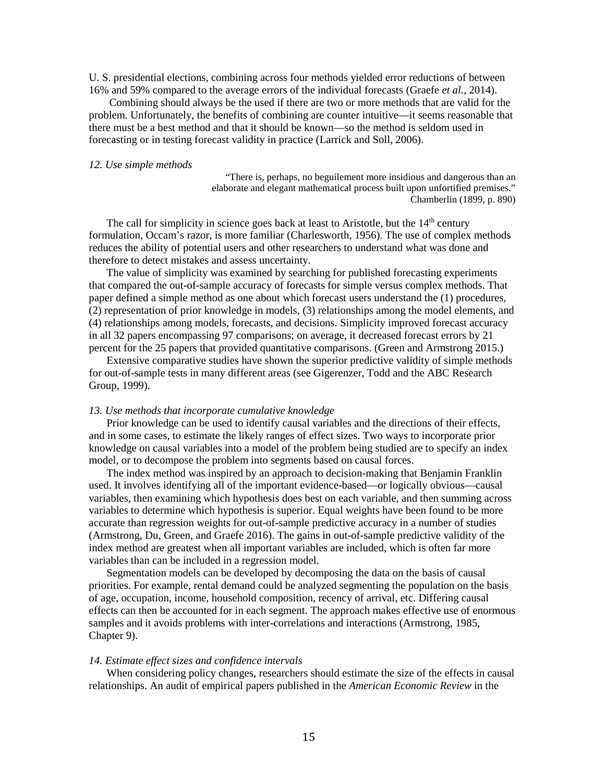U. S. presidential elections, combining across four methods yielded error reductions of between 16% and 59% compared to the average errors of the individual forecasts (Graefe *et al.*, 2014).

Combining should always be the used if there are two or more methods that are valid for the problem. Unfortunately, the benefits of combining are counter intuitive—it seems reasonable that there must be a best method and that it should be known—so the method is seldom used in forecasting or in testing forecast validity in practice (Larrick and Soll, 2006).

#### *12. Use simple methods*

"There is, perhaps, no beguilement more insidious and dangerous than an elaborate and elegant mathematical process built upon unfortified premises." Chamberlin (1899, p. 890)

The call for simplicity in science goes back at least to Aristotle, but the  $14<sup>th</sup>$  century formulation, Occam's razor, is more familiar (Charlesworth, 1956). The use of complex methods reduces the ability of potential users and other researchers to understand what was done and therefore to detect mistakes and assess uncertainty.

The value of simplicity was examined by searching for published forecasting experiments that compared the out-of-sample accuracy of forecasts for simple versus complex methods. That paper defined a simple method as one about which forecast users understand the (1) procedures, (2) representation of prior knowledge in models, (3) relationships among the model elements, and (4) relationships among models, forecasts, and decisions. Simplicity improved forecast accuracy in all 32 papers encompassing 97 comparisons; on average, it decreased forecast errors by 21 percent for the 25 papers that provided quantitative comparisons. (Green and Armstrong 2015.)

Extensive comparative studies have shown the superior predictive validity of simple methods for out-of-sample tests in many different areas (see Gigerenzer, Todd and the ABC Research Group, 1999).

#### *13. Use methods that incorporate cumulative knowledge*

Prior knowledge can be used to identify causal variables and the directions of their effects, and in some cases, to estimate the likely ranges of effect sizes. Two ways to incorporate prior knowledge on causal variables into a model of the problem being studied are to specify an index model, or to decompose the problem into segments based on causal forces.

The index method was inspired by an approach to decision-making that Benjamin Franklin used. It involves identifying all of the important evidence-based—or logically obvious—causal variables, then examining which hypothesis does best on each variable, and then summing across variables to determine which hypothesis is superior. Equal weights have been found to be more accurate than regression weights for out-of-sample predictive accuracy in a number of studies (Armstrong, Du, Green, and Graefe 2016). The gains in out-of-sample predictive validity of the index method are greatest when all important variables are included, which is often far more variables than can be included in a regression model.

Segmentation models can be developed by decomposing the data on the basis of causal priorities. For example, rental demand could be analyzed segmenting the population on the basis of age, occupation, income, household composition, recency of arrival, etc. Differing causal effects can then be accounted for in each segment. The approach makes effective use of enormous samples and it avoids problems with inter-correlations and interactions (Armstrong, 1985, Chapter 9).

#### *14. Estimate effect sizes and confidence intervals*

When considering policy changes, researchers should estimate the size of the effects in causal relationships. An audit of empirical papers published in the *American Economic Review* in the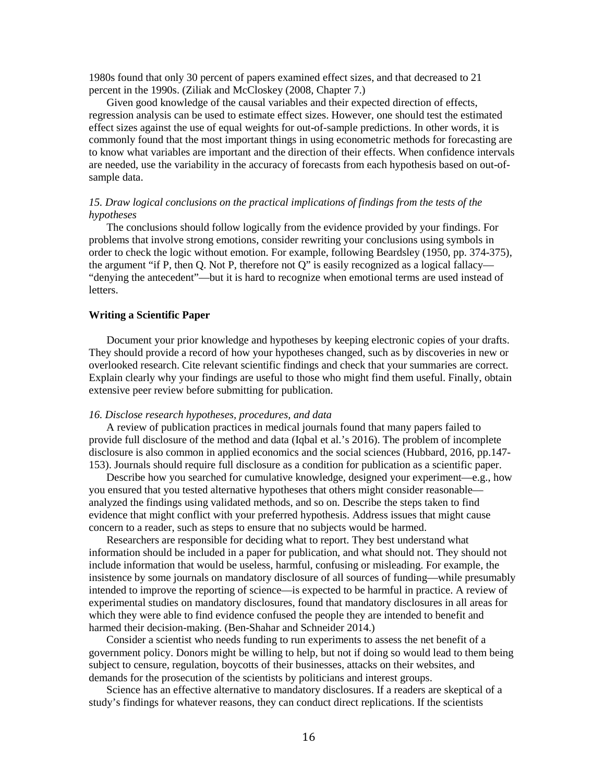1980s found that only 30 percent of papers examined effect sizes, and that decreased to 21 percent in the 1990s. (Ziliak and McCloskey (2008, Chapter 7.)

Given good knowledge of the causal variables and their expected direction of effects, regression analysis can be used to estimate effect sizes. However, one should test the estimated effect sizes against the use of equal weights for out-of-sample predictions. In other words, it is commonly found that the most important things in using econometric methods for forecasting are to know what variables are important and the direction of their effects. When confidence intervals are needed, use the variability in the accuracy of forecasts from each hypothesis based on out-ofsample data.

# *15. Draw logical conclusions on the practical implications of findings from the tests of the hypotheses*

The conclusions should follow logically from the evidence provided by your findings. For problems that involve strong emotions, consider rewriting your conclusions using symbols in order to check the logic without emotion. For example, following Beardsley (1950, pp. 374-375), the argument "if P, then Q. Not P, therefore not Q" is easily recognized as a logical fallacy— "denying the antecedent"—but it is hard to recognize when emotional terms are used instead of letters.

#### **Writing a Scientific Paper**

Document your prior knowledge and hypotheses by keeping electronic copies of your drafts. They should provide a record of how your hypotheses changed, such as by discoveries in new or overlooked research. Cite relevant scientific findings and check that your summaries are correct. Explain clearly why your findings are useful to those who might find them useful. Finally, obtain extensive peer review before submitting for publication.

#### *16. Disclose research hypotheses, procedures, and data*

A review of publication practices in medical journals found that many papers failed to provide full disclosure of the method and data (Iqbal et al.'s 2016). The problem of incomplete disclosure is also common in applied economics and the social sciences (Hubbard, 2016, pp.147- 153). Journals should require full disclosure as a condition for publication as a scientific paper.

Describe how you searched for cumulative knowledge, designed your experiment—e.g., how you ensured that you tested alternative hypotheses that others might consider reasonable analyzed the findings using validated methods, and so on. Describe the steps taken to find evidence that might conflict with your preferred hypothesis. Address issues that might cause concern to a reader, such as steps to ensure that no subjects would be harmed.

Researchers are responsible for deciding what to report. They best understand what information should be included in a paper for publication, and what should not. They should not include information that would be useless, harmful, confusing or misleading. For example, the insistence by some journals on mandatory disclosure of all sources of funding—while presumably intended to improve the reporting of science—is expected to be harmful in practice. A review of experimental studies on mandatory disclosures, found that mandatory disclosures in all areas for which they were able to find evidence confused the people they are intended to benefit and harmed their decision-making. (Ben-Shahar and Schneider 2014.)

Consider a scientist who needs funding to run experiments to assess the net benefit of a government policy. Donors might be willing to help, but not if doing so would lead to them being subject to censure, regulation, boycotts of their businesses, attacks on their websites, and demands for the prosecution of the scientists by politicians and interest groups.

Science has an effective alternative to mandatory disclosures. If a readers are skeptical of a study's findings for whatever reasons, they can conduct direct replications. If the scientists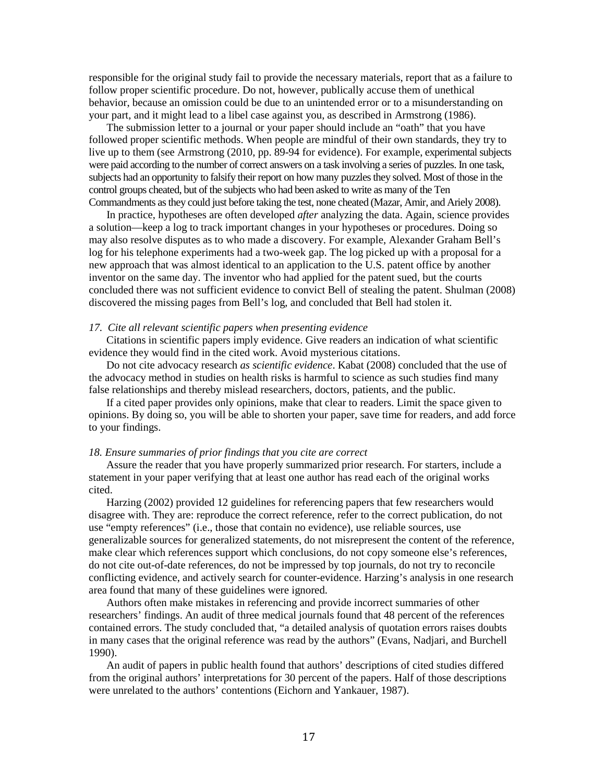responsible for the original study fail to provide the necessary materials, report that as a failure to follow proper scientific procedure. Do not, however, publically accuse them of unethical behavior, because an omission could be due to an unintended error or to a misunderstanding on your part, and it might lead to a libel case against you, as described in Armstrong (1986).

The submission letter to a journal or your paper should include an "oath" that you have followed proper scientific methods. When people are mindful of their own standards, they try to live up to them (see Armstrong (2010, pp. 89-94 for evidence). For example, experimental subjects were paid according to the number of correct answers on a task involving a series of puzzles. In one task, subjects had an opportunity to falsify their report on how many puzzles they solved. Most of those in the control groups cheated, but of the subjects who had been asked to write as many of the Ten Commandments as they could just before taking the test, none cheated (Mazar, Amir, and Ariely 2008).

In practice, hypotheses are often developed *after* analyzing the data. Again, science provides a solution—keep a log to track important changes in your hypotheses or procedures. Doing so may also resolve disputes as to who made a discovery. For example, Alexander Graham Bell's log for his telephone experiments had a two-week gap. The log picked up with a proposal for a new approach that was almost identical to an application to the U.S. patent office by another inventor on the same day. The inventor who had applied for the patent sued, but the courts concluded there was not sufficient evidence to convict Bell of stealing the patent. Shulman (2008) discovered the missing pages from Bell's log, and concluded that Bell had stolen it.

#### *17. Cite all relevant scientific papers when presenting evidence*

Citations in scientific papers imply evidence. Give readers an indication of what scientific evidence they would find in the cited work. Avoid mysterious citations.

Do not cite advocacy research *as scientific evidence*. Kabat (2008) concluded that the use of the advocacy method in studies on health risks is harmful to science as such studies find many false relationships and thereby mislead researchers, doctors, patients, and the public.

If a cited paper provides only opinions, make that clear to readers. Limit the space given to opinions. By doing so, you will be able to shorten your paper, save time for readers, and add force to your findings.

#### *18. Ensure summaries of prior findings that you cite are correct*

Assure the reader that you have properly summarized prior research. For starters, include a statement in your paper verifying that at least one author has read each of the original works cited.

Harzing (2002) provided 12 guidelines for referencing papers that few researchers would disagree with. They are: reproduce the correct reference, refer to the correct publication, do not use "empty references" (i.e., those that contain no evidence), use reliable sources, use generalizable sources for generalized statements, do not misrepresent the content of the reference, make clear which references support which conclusions, do not copy someone else's references, do not cite out-of-date references, do not be impressed by top journals, do not try to reconcile conflicting evidence, and actively search for counter-evidence. Harzing's analysis in one research area found that many of these guidelines were ignored.

Authors often make mistakes in referencing and provide incorrect summaries of other researchers' findings. An audit of three medical journals found that 48 percent of the references contained errors. The study concluded that, "a detailed analysis of quotation errors raises doubts in many cases that the original reference was read by the authors" (Evans, Nadjari, and Burchell 1990).

An audit of papers in public health found that authors' descriptions of cited studies differed from the original authors' interpretations for 30 percent of the papers. Half of those descriptions were unrelated to the authors' contentions (Eichorn and Yankauer, 1987).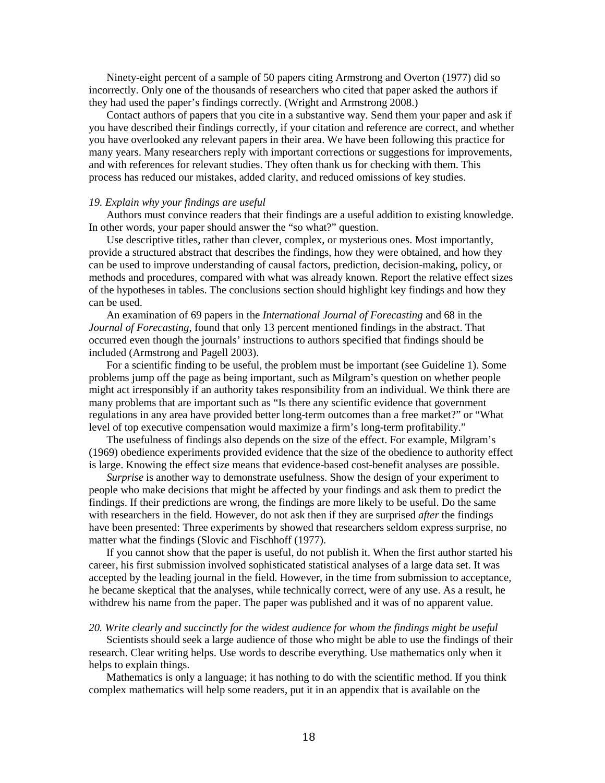Ninety-eight percent of a sample of 50 papers citing Armstrong and Overton (1977) did so incorrectly. Only one of the thousands of researchers who cited that paper asked the authors if they had used the paper's findings correctly. (Wright and Armstrong 2008.)

Contact authors of papers that you cite in a substantive way. Send them your paper and ask if you have described their findings correctly, if your citation and reference are correct, and whether you have overlooked any relevant papers in their area. We have been following this practice for many years. Many researchers reply with important corrections or suggestions for improvements, and with references for relevant studies. They often thank us for checking with them. This process has reduced our mistakes, added clarity, and reduced omissions of key studies.

#### *19. Explain why your findings are useful*

Authors must convince readers that their findings are a useful addition to existing knowledge. In other words, your paper should answer the "so what?" question.

Use descriptive titles, rather than clever, complex, or mysterious ones. Most importantly, provide a structured abstract that describes the findings, how they were obtained, and how they can be used to improve understanding of causal factors, prediction, decision-making, policy, or methods and procedures, compared with what was already known. Report the relative effect sizes of the hypotheses in tables. The conclusions section should highlight key findings and how they can be used.

An examination of 69 papers in the *International Journal of Forecasting* and 68 in the *Journal of Forecasting*, found that only 13 percent mentioned findings in the abstract. That occurred even though the journals' instructions to authors specified that findings should be included (Armstrong and Pagell 2003).

For a scientific finding to be useful, the problem must be important (see Guideline 1). Some problems jump off the page as being important, such as Milgram's question on whether people might act irresponsibly if an authority takes responsibility from an individual. We think there are many problems that are important such as "Is there any scientific evidence that government regulations in any area have provided better long-term outcomes than a free market?" or "What level of top executive compensation would maximize a firm's long-term profitability."

The usefulness of findings also depends on the size of the effect. For example, Milgram's (1969) obedience experiments provided evidence that the size of the obedience to authority effect is large. Knowing the effect size means that evidence-based cost-benefit analyses are possible.

*Surprise* is another way to demonstrate usefulness. Show the design of your experiment to people who make decisions that might be affected by your findings and ask them to predict the findings. If their predictions are wrong, the findings are more likely to be useful. Do the same with researchers in the field. However, do not ask then if they are surprised *after* the findings have been presented: Three experiments by showed that researchers seldom express surprise, no matter what the findings (Slovic and Fischhoff (1977).

If you cannot show that the paper is useful, do not publish it. When the first author started his career, his first submission involved sophisticated statistical analyses of a large data set. It was accepted by the leading journal in the field. However, in the time from submission to acceptance, he became skeptical that the analyses, while technically correct, were of any use. As a result, he withdrew his name from the paper. The paper was published and it was of no apparent value.

#### *20. Write clearly and succinctly for the widest audience for whom the findings might be useful*

Scientists should seek a large audience of those who might be able to use the findings of their research. Clear writing helps. Use words to describe everything. Use mathematics only when it helps to explain things.

Mathematics is only a language; it has nothing to do with the scientific method. If you think complex mathematics will help some readers, put it in an appendix that is available on the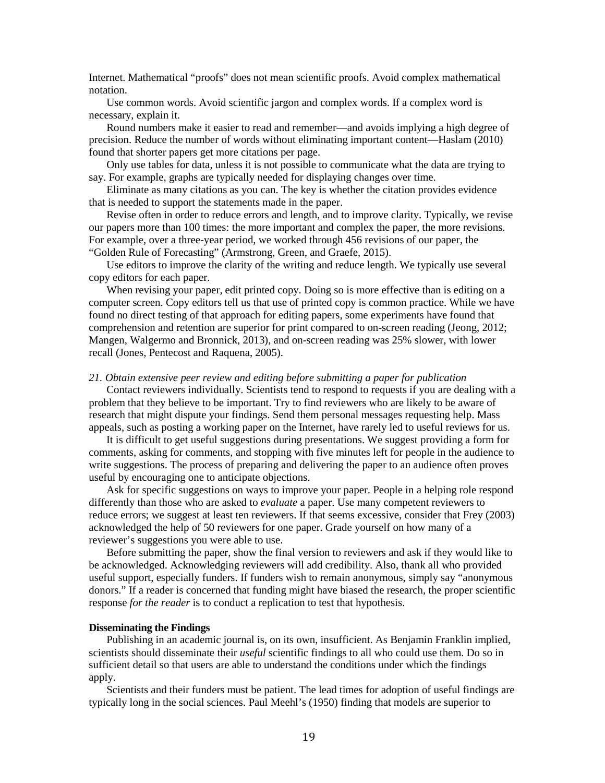Internet. Mathematical "proofs" does not mean scientific proofs. Avoid complex mathematical notation.

Use common words. Avoid scientific jargon and complex words. If a complex word is necessary, explain it.

Round numbers make it easier to read and remember—and avoids implying a high degree of precision. Reduce the number of words without eliminating important content—Haslam (2010) found that shorter papers get more citations per page.

Only use tables for data, unless it is not possible to communicate what the data are trying to say. For example, graphs are typically needed for displaying changes over time.

Eliminate as many citations as you can. The key is whether the citation provides evidence that is needed to support the statements made in the paper.

Revise often in order to reduce errors and length, and to improve clarity. Typically, we revise our papers more than 100 times: the more important and complex the paper, the more revisions. For example, over a three-year period, we worked through 456 revisions of our paper, the "Golden Rule of Forecasting" (Armstrong, Green, and Graefe, 2015).

Use editors to improve the clarity of the writing and reduce length. We typically use several copy editors for each paper.

When revising your paper, edit printed copy. Doing so is more effective than is editing on a computer screen. Copy editors tell us that use of printed copy is common practice. While we have found no direct testing of that approach for editing papers, some experiments have found that comprehension and retention are superior for print compared to on-screen reading (Jeong, 2012; Mangen, Walgermo and Bronnick, 2013), and on-screen reading was 25% slower, with lower recall (Jones, Pentecost and Raquena, 2005).

#### *21. Obtain extensive peer review and editing before submitting a paper for publication*

Contact reviewers individually. Scientists tend to respond to requests if you are dealing with a problem that they believe to be important. Try to find reviewers who are likely to be aware of research that might dispute your findings. Send them personal messages requesting help. Mass appeals, such as posting a working paper on the Internet, have rarely led to useful reviews for us.

It is difficult to get useful suggestions during presentations. We suggest providing a form for comments, asking for comments, and stopping with five minutes left for people in the audience to write suggestions. The process of preparing and delivering the paper to an audience often proves useful by encouraging one to anticipate objections.

Ask for specific suggestions on ways to improve your paper. People in a helping role respond differently than those who are asked to *evaluate* a paper. Use many competent reviewers to reduce errors; we suggest at least ten reviewers. If that seems excessive, consider that Frey (2003) acknowledged the help of 50 reviewers for one paper. Grade yourself on how many of a reviewer's suggestions you were able to use.

Before submitting the paper, show the final version to reviewers and ask if they would like to be acknowledged. Acknowledging reviewers will add credibility. Also, thank all who provided useful support, especially funders. If funders wish to remain anonymous, simply say "anonymous donors." If a reader is concerned that funding might have biased the research, the proper scientific response *for the reader* is to conduct a replication to test that hypothesis.

#### **Disseminating the Findings**

Publishing in an academic journal is, on its own, insufficient. As Benjamin Franklin implied, scientists should disseminate their *useful* scientific findings to all who could use them. Do so in sufficient detail so that users are able to understand the conditions under which the findings apply.

Scientists and their funders must be patient. The lead times for adoption of useful findings are typically long in the social sciences. Paul Meehl's (1950) finding that models are superior to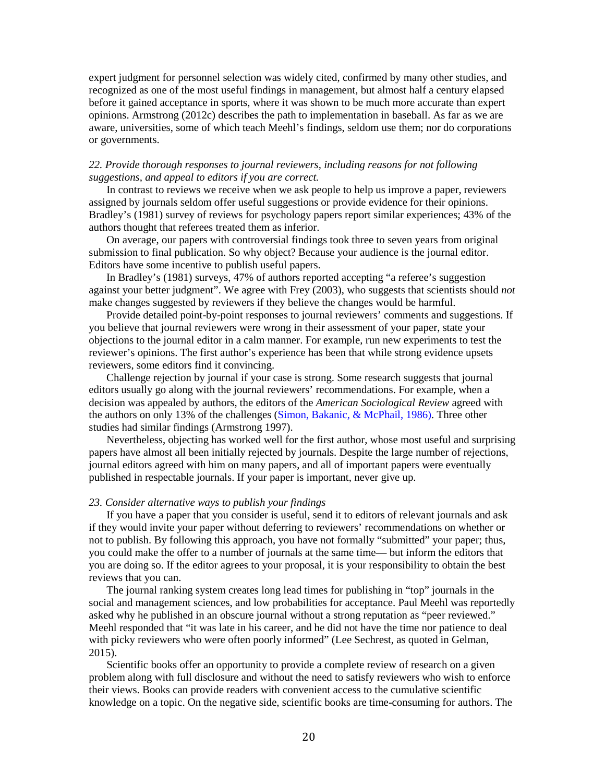expert judgment for personnel selection was widely cited, confirmed by many other studies, and recognized as one of the most useful findings in management, but almost half a century elapsed before it gained acceptance in sports, where it was shown to be much more accurate than expert opinions. Armstrong (2012c) describes the path to implementation in baseball. As far as we are aware, universities, some of which teach Meehl's findings, seldom use them; nor do corporations or governments.

## *22. Provide thorough responses to journal reviewers, including reasons for not following suggestions, and appeal to editors if you are correct.*

In contrast to reviews we receive when we ask people to help us improve a paper, reviewers assigned by journals seldom offer useful suggestions or provide evidence for their opinions. Bradley's (1981) survey of reviews for psychology papers report similar experiences; 43% of the authors thought that referees treated them as inferior.

On average, our papers with controversial findings took three to seven years from original submission to final publication. So why object? Because your audience is the journal editor. Editors have some incentive to publish useful papers.

In Bradley's (1981) surveys, 47% of authors reported accepting "a referee's suggestion against your better judgment". We agree with Frey (2003), who suggests that scientists should *not* make changes suggested by reviewers if they believe the changes would be harmful.

Provide detailed point-by-point responses to journal reviewers' comments and suggestions. If you believe that journal reviewers were wrong in their assessment of your paper, state your objections to the journal editor in a calm manner. For example, run new experiments to test the reviewer's opinions. The first author's experience has been that while strong evidence upsets reviewers, some editors find it convincing.

Challenge rejection by journal if your case is strong. Some research suggests that journal editors usually go along with the journal reviewers' recommendations. For example, when a decision was appealed by authors, the editors of the *American Sociological Review* agreed with the authors on only 13% of the challenges (Simon, Bakanic, & McPhail, 1986). Three other studies had similar findings (Armstrong 1997).

Nevertheless, objecting has worked well for the first author, whose most useful and surprising papers have almost all been initially rejected by journals. Despite the large number of rejections, journal editors agreed with him on many papers, and all of important papers were eventually published in respectable journals. If your paper is important, never give up.

#### *23. Consider alternative ways to publish your findings*

If you have a paper that you consider is useful, send it to editors of relevant journals and ask if they would invite your paper without deferring to reviewers' recommendations on whether or not to publish. By following this approach, you have not formally "submitted" your paper; thus, you could make the offer to a number of journals at the same time— but inform the editors that you are doing so. If the editor agrees to your proposal, it is your responsibility to obtain the best reviews that you can.

The journal ranking system creates long lead times for publishing in "top" journals in the social and management sciences, and low probabilities for acceptance. Paul Meehl was reportedly asked why he published in an obscure journal without a strong reputation as "peer reviewed." Meehl responded that "it was late in his career, and he did not have the time nor patience to deal with picky reviewers who were often poorly informed" (Lee Sechrest, as quoted in Gelman, 2015).

Scientific books offer an opportunity to provide a complete review of research on a given problem along with full disclosure and without the need to satisfy reviewers who wish to enforce their views. Books can provide readers with convenient access to the cumulative scientific knowledge on a topic. On the negative side, scientific books are time-consuming for authors. The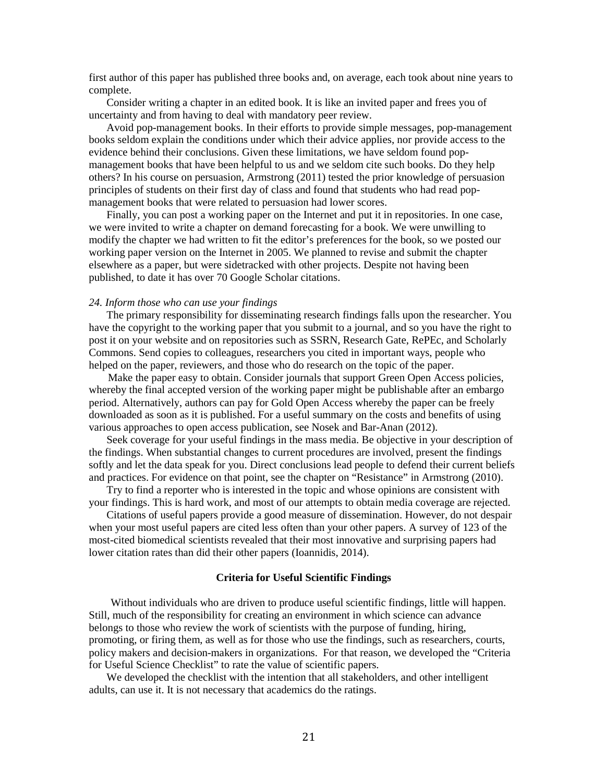first author of this paper has published three books and, on average, each took about nine years to complete.

Consider writing a chapter in an edited book. It is like an invited paper and frees you of uncertainty and from having to deal with mandatory peer review.

Avoid pop-management books. In their efforts to provide simple messages, pop-management books seldom explain the conditions under which their advice applies, nor provide access to the evidence behind their conclusions. Given these limitations, we have seldom found popmanagement books that have been helpful to us and we seldom cite such books. Do they help others? In his course on persuasion, Armstrong (2011) tested the prior knowledge of persuasion principles of students on their first day of class and found that students who had read popmanagement books that were related to persuasion had lower scores.

Finally, you can post a working paper on the Internet and put it in repositories. In one case, we were invited to write a chapter on demand forecasting for a book. We were unwilling to modify the chapter we had written to fit the editor's preferences for the book, so we posted our working paper version on the Internet in 2005. We planned to revise and submit the chapter elsewhere as a paper, but were sidetracked with other projects. Despite not having been published, to date it has over 70 Google Scholar citations.

#### *24. Inform those who can use your findings*

The primary responsibility for disseminating research findings falls upon the researcher. You have the copyright to the working paper that you submit to a journal, and so you have the right to post it on your website and on repositories such as SSRN, Research Gate, RePEc, and Scholarly Commons. Send copies to colleagues, researchers you cited in important ways, people who helped on the paper, reviewers, and those who do research on the topic of the paper.

 Make the paper easy to obtain. Consider journals that support Green Open Access policies, whereby the final accepted version of the working paper might be publishable after an embargo period. Alternatively, authors can pay for Gold Open Access whereby the paper can be freely downloaded as soon as it is published. For a useful summary on the costs and benefits of using various approaches to open access publication, see Nosek and Bar-Anan (2012).

Seek coverage for your useful findings in the mass media. Be objective in your description of the findings. When substantial changes to current procedures are involved, present the findings softly and let the data speak for you. Direct conclusions lead people to defend their current beliefs and practices. For evidence on that point, see the chapter on "Resistance" in Armstrong (2010).

Try to find a reporter who is interested in the topic and whose opinions are consistent with your findings. This is hard work, and most of our attempts to obtain media coverage are rejected.

Citations of useful papers provide a good measure of dissemination. However, do not despair when your most useful papers are cited less often than your other papers. A survey of 123 of the most-cited biomedical scientists revealed that their most innovative and surprising papers had lower citation rates than did their other papers (Ioannidis, 2014).

#### **Criteria for Useful Scientific Findings**

 Without individuals who are driven to produce useful scientific findings, little will happen. Still, much of the responsibility for creating an environment in which science can advance belongs to those who review the work of scientists with the purpose of funding, hiring, promoting, or firing them, as well as for those who use the findings, such as researchers, courts, policy makers and decision-makers in organizations. For that reason, we developed the "Criteria for Useful Science Checklist" to rate the value of scientific papers.

We developed the checklist with the intention that all stakeholders, and other intelligent adults, can use it. It is not necessary that academics do the ratings.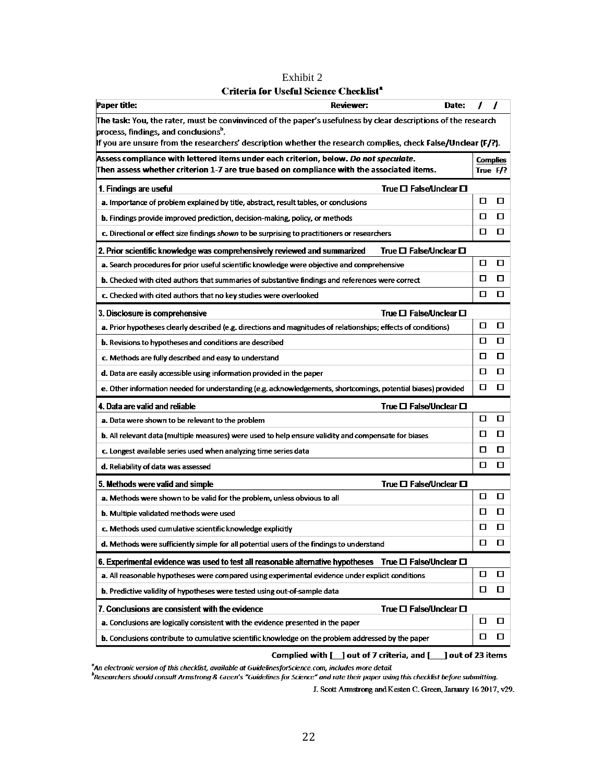| UTRETIA IOT USEIW SCIENCE UNECKLISU                                                                                                                                                                                                                                                     |                        |       |            |                 |
|-----------------------------------------------------------------------------------------------------------------------------------------------------------------------------------------------------------------------------------------------------------------------------------------|------------------------|-------|------------|-----------------|
| Paper title:                                                                                                                                                                                                                                                                            | <b>Reviewer:</b>       | Date: |            | ,               |
| The task: You, the rater, must be convinvinced of the paper's usefulness by clear descriptions of the research<br>$\,$ process, findings, and conclusions $^{\rm b}$ .<br>If you are unsure from the researchers' description whether the research complies, check False/Unclear (F/?). |                        |       |            |                 |
| Assess compliance with lettered items under each criterion, below. <i>Do not speculate</i> .                                                                                                                                                                                            |                        |       |            | <b>Complies</b> |
| Then assess whether criterion 1-7 are true based on compliance with the associated items.                                                                                                                                                                                               |                        |       | True $F/?$ |                 |
| 1. Findings are useful                                                                                                                                                                                                                                                                  | True □ False/Unclear □ |       |            |                 |
| a. Importance of problem explained by title, abstract, result tables, or conclusions                                                                                                                                                                                                    |                        |       | О          | 0               |
| b. Findings provide improved prediction, decision-making, policy, or methods                                                                                                                                                                                                            |                        |       | 0          | 0               |
| c. Directional or effect size findings shown to be surprising to practitioners or researchers                                                                                                                                                                                           |                        |       | П          | О               |
| 2. Prior scientific knowledge was comprehensively reviewed and summarized                                                                                                                                                                                                               | True □ False/Unclear □ |       |            |                 |
| a. Search procedures for prior useful scientific knowledge were objective and comprehensive                                                                                                                                                                                             |                        |       | 0          | 0               |
| b. Checked with cited authors that summaries of substantive findings and references were correct                                                                                                                                                                                        |                        |       | П          | О               |
| c. Checked with cited authors that no key studies were overlooked                                                                                                                                                                                                                       |                        |       | П          | 0               |
| 3. Disclosure is comprehensive                                                                                                                                                                                                                                                          | True □ False/Unclear □ |       |            |                 |
| a. Prior hypotheses clearly described (e.g. directions and magnitudes of relationships; effects of conditions)                                                                                                                                                                          |                        |       | О          | 0               |
| <b>b.</b> Revisions to hypotheses and conditions are described                                                                                                                                                                                                                          |                        |       | П          | 0               |
| c. Methods are fully described and easy to understand                                                                                                                                                                                                                                   |                        |       | Π          | 0               |
| d. Data are easily accessible using information provided in the paper                                                                                                                                                                                                                   |                        |       | O          | 0               |
| e. Other information needed for understanding (e.g. acknowledgements, shortcomings, potential biases) provided                                                                                                                                                                          |                        |       | П          | О               |
| 4. Data are valid and reliable                                                                                                                                                                                                                                                          | True □ False/Unclear □ |       |            |                 |
| a. Data were shown to be relevant to the problem                                                                                                                                                                                                                                        |                        |       | O          | 0               |
| b. All relevant data (multiple measures) were used to help ensure validity and compensate for biases                                                                                                                                                                                    |                        |       | О          | О               |
| c. Longest available series used when analyzing time series data                                                                                                                                                                                                                        |                        |       | □          | 0               |
| d. Reliability of data was assessed                                                                                                                                                                                                                                                     |                        |       | П          | П               |
| 5. Methods were valid and simple                                                                                                                                                                                                                                                        | True □ False/Unclear □ |       |            |                 |
| a. Methods were shown to be valid for the problem, unless obvious to all                                                                                                                                                                                                                |                        |       | □          | О               |
| <b>b. Multiple validated methods were used</b>                                                                                                                                                                                                                                          |                        |       | П          | О               |
| c. Methods used cumulative scientific knowledge explicitly                                                                                                                                                                                                                              |                        |       | 0          | 0               |
| d. Methods were sufficiently simple for all potential users of the findings to understand                                                                                                                                                                                               |                        |       | О          | $\Box$          |
| 6. Experimental evidence was used to test all reasonable alternative hypotheses True D False/Unclear D                                                                                                                                                                                  |                        |       |            |                 |
| a. All reasonable hypotheses were compared using experimental evidence under explicit conditions                                                                                                                                                                                        |                        |       | 0          | 0               |
| <b>b.</b> Predictive validity of hypotheses were tested using out-of-sample data                                                                                                                                                                                                        |                        |       | □          | 0               |
| True <b>O</b> False/Unclear <b>O</b><br>7. Conclusions are consistent with the evidence                                                                                                                                                                                                 |                        |       |            |                 |
| a. Conclusions are logically consistent with the evidence presented in the paper                                                                                                                                                                                                        |                        |       | 0          | О               |
| b. Conclusions contribute to cumulative scientific knowledge on the problem addressed by the paper                                                                                                                                                                                      |                        |       | О          | $\Box$          |

# Exhibit 2<br>Criteria for Useful Science Checklist<sup>2</sup>

Complied with [ ] out of 7 criteria, and [ ] out of 23 items

<sup>a</sup>An electronic version of this checklist, available at GuidelinesforScience.com, includes more detail.<br><sup>b</sup>Researchers should consult Armstrong & Green's "Guidelines for Science" and rate their paper using this checklist

J. Scott Armstrong and Kesten C. Green, January 16 2017, v29.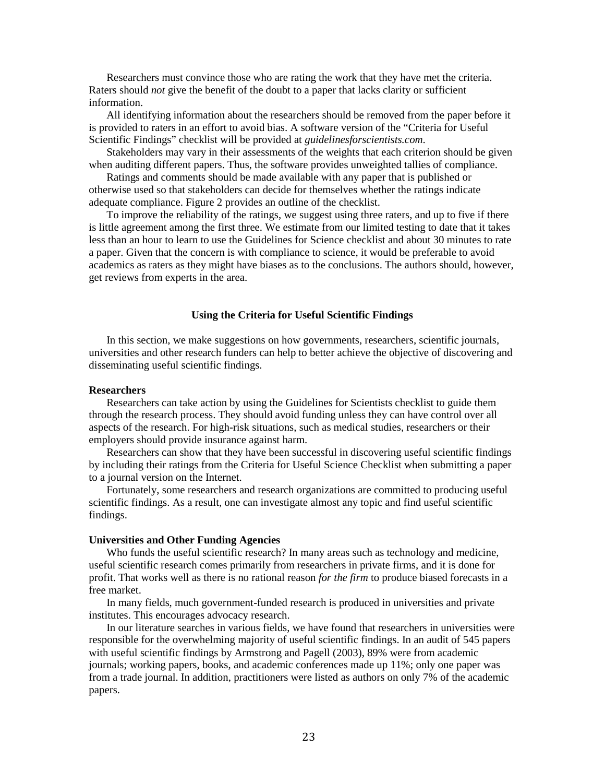Researchers must convince those who are rating the work that they have met the criteria. Raters should *not* give the benefit of the doubt to a paper that lacks clarity or sufficient information.

All identifying information about the researchers should be removed from the paper before it is provided to raters in an effort to avoid bias. A software version of the "Criteria for Useful Scientific Findings" checklist will be provided at *guidelinesforscientists.com*.

Stakeholders may vary in their assessments of the weights that each criterion should be given when auditing different papers. Thus, the software provides unweighted tallies of compliance.

Ratings and comments should be made available with any paper that is published or otherwise used so that stakeholders can decide for themselves whether the ratings indicate adequate compliance. Figure 2 provides an outline of the checklist.

To improve the reliability of the ratings, we suggest using three raters, and up to five if there is little agreement among the first three. We estimate from our limited testing to date that it takes less than an hour to learn to use the Guidelines for Science checklist and about 30 minutes to rate a paper. Given that the concern is with compliance to science, it would be preferable to avoid academics as raters as they might have biases as to the conclusions. The authors should, however, get reviews from experts in the area.

#### **Using the Criteria for Useful Scientific Findings**

In this section, we make suggestions on how governments, researchers, scientific journals, universities and other research funders can help to better achieve the objective of discovering and disseminating useful scientific findings.

#### **Researchers**

Researchers can take action by using the Guidelines for Scientists checklist to guide them through the research process. They should avoid funding unless they can have control over all aspects of the research. For high-risk situations, such as medical studies, researchers or their employers should provide insurance against harm.

Researchers can show that they have been successful in discovering useful scientific findings by including their ratings from the Criteria for Useful Science Checklist when submitting a paper to a journal version on the Internet.

Fortunately, some researchers and research organizations are committed to producing useful scientific findings. As a result, one can investigate almost any topic and find useful scientific findings.

#### **Universities and Other Funding Agencies**

Who funds the useful scientific research? In many areas such as technology and medicine, useful scientific research comes primarily from researchers in private firms, and it is done for profit. That works well as there is no rational reason *for the firm* to produce biased forecasts in a free market.

In many fields, much government-funded research is produced in universities and private institutes. This encourages advocacy research.

In our literature searches in various fields, we have found that researchers in universities were responsible for the overwhelming majority of useful scientific findings. In an audit of 545 papers with useful scientific findings by Armstrong and Pagell (2003), 89% were from academic journals; working papers, books, and academic conferences made up 11%; only one paper was from a trade journal. In addition, practitioners were listed as authors on only 7% of the academic papers.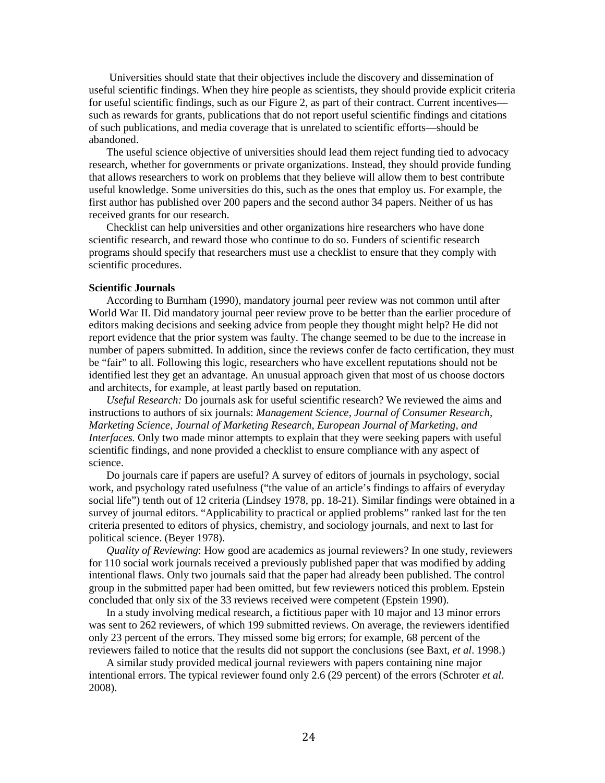Universities should state that their objectives include the discovery and dissemination of useful scientific findings. When they hire people as scientists, they should provide explicit criteria for useful scientific findings, such as our Figure 2, as part of their contract. Current incentives such as rewards for grants, publications that do not report useful scientific findings and citations of such publications, and media coverage that is unrelated to scientific efforts—should be abandoned.

The useful science objective of universities should lead them reject funding tied to advocacy research, whether for governments or private organizations. Instead, they should provide funding that allows researchers to work on problems that they believe will allow them to best contribute useful knowledge. Some universities do this, such as the ones that employ us. For example, the first author has published over 200 papers and the second author 34 papers. Neither of us has received grants for our research.

Checklist can help universities and other organizations hire researchers who have done scientific research, and reward those who continue to do so. Funders of scientific research programs should specify that researchers must use a checklist to ensure that they comply with scientific procedures.

### **Scientific Journals**

According to Burnham (1990), mandatory journal peer review was not common until after World War II. Did mandatory journal peer review prove to be better than the earlier procedure of editors making decisions and seeking advice from people they thought might help? He did not report evidence that the prior system was faulty. The change seemed to be due to the increase in number of papers submitted. In addition, since the reviews confer de facto certification, they must be "fair" to all. Following this logic, researchers who have excellent reputations should not be identified lest they get an advantage. An unusual approach given that most of us choose doctors and architects, for example, at least partly based on reputation.

*Useful Research:* Do journals ask for useful scientific research? We reviewed the aims and instructions to authors of six journals: *Management Science, Journal of Consumer Research, Marketing Science, Journal of Marketing Research, European Journal of Marketing, and Interfaces.* Only two made minor attempts to explain that they were seeking papers with useful scientific findings, and none provided a checklist to ensure compliance with any aspect of science.

Do journals care if papers are useful? A survey of editors of journals in psychology, social work, and psychology rated usefulness ("the value of an article's findings to affairs of everyday social life") tenth out of 12 criteria (Lindsey 1978, pp. 18-21). Similar findings were obtained in a survey of journal editors. "Applicability to practical or applied problems" ranked last for the ten criteria presented to editors of physics, chemistry, and sociology journals, and next to last for political science. (Beyer 1978).

*Quality of Reviewing*: How good are academics as journal reviewers? In one study, reviewers for 110 social work journals received a previously published paper that was modified by adding intentional flaws. Only two journals said that the paper had already been published. The control group in the submitted paper had been omitted, but few reviewers noticed this problem. Epstein concluded that only six of the 33 reviews received were competent (Epstein 1990).

In a study involving medical research, a fictitious paper with 10 major and 13 minor errors was sent to 262 reviewers, of which 199 submitted reviews. On average, the reviewers identified only 23 percent of the errors. They missed some big errors; for example, 68 percent of the reviewers failed to notice that the results did not support the conclusions (see Baxt, *et al*. 1998.)

A similar study provided medical journal reviewers with papers containing nine major intentional errors. The typical reviewer found only 2.6 (29 percent) of the errors (Schroter *et al*. 2008).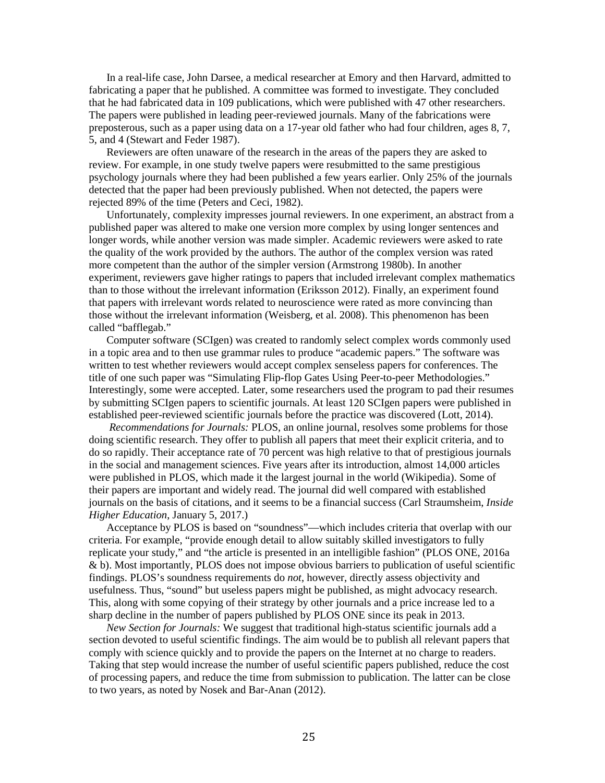In a real-life case, John Darsee, a medical researcher at Emory and then Harvard, admitted to fabricating a paper that he published. A committee was formed to investigate. They concluded that he had fabricated data in 109 publications, which were published with 47 other researchers. The papers were published in leading peer-reviewed journals. Many of the fabrications were preposterous, such as a paper using data on a 17-year old father who had four children, ages 8, 7, 5, and 4 (Stewart and Feder 1987).

Reviewers are often unaware of the research in the areas of the papers they are asked to review. For example, in one study twelve papers were resubmitted to the same prestigious psychology journals where they had been published a few years earlier. Only 25% of the journals detected that the paper had been previously published. When not detected, the papers were rejected 89% of the time (Peters and Ceci, 1982).

Unfortunately, complexity impresses journal reviewers. In one experiment, an abstract from a published paper was altered to make one version more complex by using longer sentences and longer words, while another version was made simpler. Academic reviewers were asked to rate the quality of the work provided by the authors. The author of the complex version was rated more competent than the author of the simpler version (Armstrong 1980b). In another experiment, reviewers gave higher ratings to papers that included irrelevant complex mathematics than to those without the irrelevant information (Eriksson 2012). Finally, an experiment found that papers with irrelevant words related to neuroscience were rated as more convincing than those without the irrelevant information (Weisberg, et al. 2008). This phenomenon has been called "bafflegab."

Computer software (SCIgen) was created to randomly select complex words commonly used in a topic area and to then use grammar rules to produce "academic papers." The software was written to test whether reviewers would accept complex senseless papers for conferences. The title of one such paper was "Simulating Flip-flop Gates Using Peer-to-peer Methodologies." Interestingly, some were accepted. Later, some researchers used the program to pad their resumes by submitting SCIgen papers to scientific journals. At least 120 SCIgen papers were published in established peer-reviewed scientific journals before the practice was discovered (Lott, 2014).

*Recommendations for Journals:* PLOS, an online journal, resolves some problems for those doing scientific research. They offer to publish all papers that meet their explicit criteria, and to do so rapidly. Their acceptance rate of 70 percent was high relative to that of prestigious journals in the social and management sciences. Five years after its introduction, almost 14,000 articles were published in PLOS, which made it the largest journal in the world (Wikipedia). Some of their papers are important and widely read. The journal did well compared with established journals on the basis of citations, and it seems to be a financial success (Carl Straumsheim, *Inside Higher Education*, January 5, 2017.)

Acceptance by PLOS is based on "soundness"—which includes criteria that overlap with our criteria. For example, "provide enough detail to allow suitably skilled investigators to fully replicate your study," and "the article is presented in an intelligible fashion" (PLOS ONE, 2016a & b). Most importantly, PLOS does not impose obvious barriers to publication of useful scientific findings. PLOS's soundness requirements do *not*, however, directly assess objectivity and usefulness. Thus, "sound" but useless papers might be published, as might advocacy research. This, along with some copying of their strategy by other journals and a price increase led to a sharp decline in the number of papers published by PLOS ONE since its peak in 2013.

*New Section for Journals:* We suggest that traditional high-status scientific journals add a section devoted to useful scientific findings. The aim would be to publish all relevant papers that comply with science quickly and to provide the papers on the Internet at no charge to readers. Taking that step would increase the number of useful scientific papers published, reduce the cost of processing papers, and reduce the time from submission to publication. The latter can be close to two years, as noted by Nosek and Bar-Anan (2012).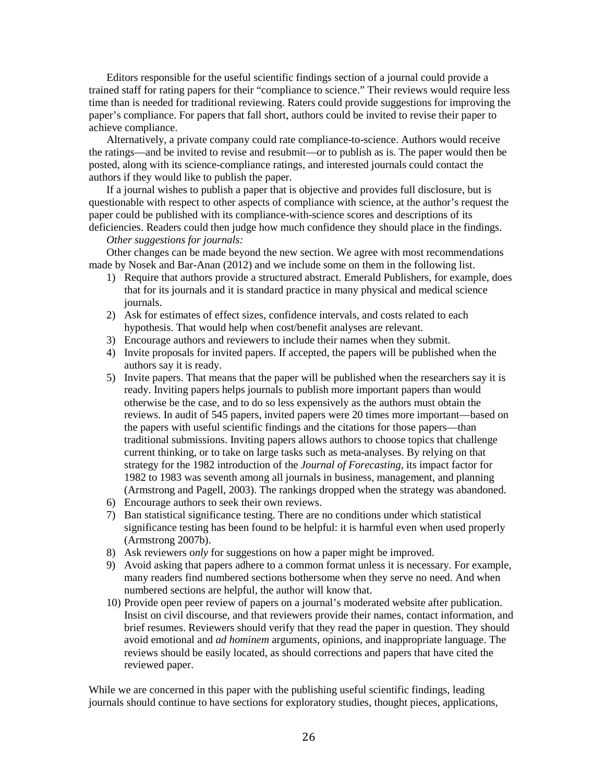Editors responsible for the useful scientific findings section of a journal could provide a trained staff for rating papers for their "compliance to science." Their reviews would require less time than is needed for traditional reviewing. Raters could provide suggestions for improving the paper's compliance. For papers that fall short, authors could be invited to revise their paper to achieve compliance.

Alternatively, a private company could rate compliance-to-science. Authors would receive the ratings—and be invited to revise and resubmit—or to publish as is. The paper would then be posted, along with its science-compliance ratings, and interested journals could contact the authors if they would like to publish the paper.

If a journal wishes to publish a paper that is objective and provides full disclosure, but is questionable with respect to other aspects of compliance with science, at the author's request the paper could be published with its compliance-with-science scores and descriptions of its deficiencies. Readers could then judge how much confidence they should place in the findings.

*Other suggestions for journals:*

Other changes can be made beyond the new section. We agree with most recommendations made by Nosek and Bar-Anan (2012) and we include some on them in the following list.

- 1) Require that authors provide a structured abstract. Emerald Publishers, for example, does that for its journals and it is standard practice in many physical and medical science journals.
- 2) Ask for estimates of effect sizes, confidence intervals, and costs related to each hypothesis. That would help when cost/benefit analyses are relevant.
- 3) Encourage authors and reviewers to include their names when they submit.
- 4) Invite proposals for invited papers. If accepted, the papers will be published when the authors say it is ready.
- 5) Invite papers. That means that the paper will be published when the researchers say it is ready. Inviting papers helps journals to publish more important papers than would otherwise be the case, and to do so less expensively as the authors must obtain the reviews. In audit of 545 papers, invited papers were 20 times more important—based on the papers with useful scientific findings and the citations for those papers—than traditional submissions. Inviting papers allows authors to choose topics that challenge current thinking, or to take on large tasks such as meta-analyses. By relying on that strategy for the 1982 introduction of the *Journal of Forecasting*, its impact factor for 1982 to 1983 was seventh among all journals in business, management, and planning (Armstrong and Pagell, 2003). The rankings dropped when the strategy was abandoned.
- 6) Encourage authors to seek their own reviews.
- 7) Ban statistical significance testing. There are no conditions under which statistical significance testing has been found to be helpful: it is harmful even when used properly (Armstrong 2007b).
- 8) Ask reviewers o*nly* for suggestions on how a paper might be improved.
- 9) Avoid asking that papers adhere to a common format unless it is necessary. For example, many readers find numbered sections bothersome when they serve no need. And when numbered sections are helpful, the author will know that.
- 10) Provide open peer review of papers on a journal's moderated website after publication. Insist on civil discourse, and that reviewers provide their names, contact information, and brief resumes. Reviewers should verify that they read the paper in question. They should avoid emotional and *ad hominem* arguments, opinions, and inappropriate language. The reviews should be easily located, as should corrections and papers that have cited the reviewed paper.

While we are concerned in this paper with the publishing useful scientific findings, leading journals should continue to have sections for exploratory studies, thought pieces, applications,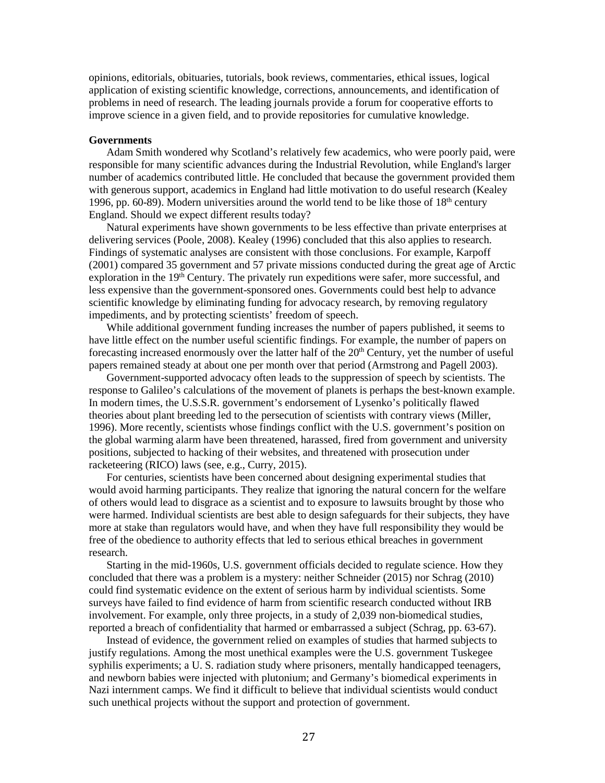opinions, editorials, obituaries, tutorials, book reviews, commentaries, ethical issues, logical application of existing scientific knowledge, corrections, announcements, and identification of problems in need of research. The leading journals provide a forum for cooperative efforts to improve science in a given field, and to provide repositories for cumulative knowledge.

#### **Governments**

Adam Smith wondered why Scotland's relatively few academics, who were poorly paid, were responsible for many scientific advances during the Industrial Revolution, while England's larger number of academics contributed little. He concluded that because the government provided them with generous support, academics in England had little motivation to do useful research (Kealey 1996, pp.  $60-89$ ). Modern universities around the world tend to be like those of  $18<sup>th</sup>$  century England. Should we expect different results today?

Natural experiments have shown governments to be less effective than private enterprises at delivering services (Poole, 2008). Kealey (1996) concluded that this also applies to research. Findings of systematic analyses are consistent with those conclusions. For example, Karpoff (2001) compared 35 government and 57 private missions conducted during the great age of Arctic exploration in the 19<sup>th</sup> Century. The privately run expeditions were safer, more successful, and less expensive than the government-sponsored ones. Governments could best help to advance scientific knowledge by eliminating funding for advocacy research, by removing regulatory impediments, and by protecting scientists' freedom of speech.

While additional government funding increases the number of papers published, it seems to have little effect on the number useful scientific findings. For example, the number of papers on forecasting increased enormously over the latter half of the  $20<sup>th</sup>$  Century, yet the number of useful papers remained steady at about one per month over that period (Armstrong and Pagell 2003).

Government-supported advocacy often leads to the suppression of speech by scientists. The response to Galileo's calculations of the movement of planets is perhaps the best-known example. In modern times, the U.S.S.R. government's endorsement of Lysenko's politically flawed theories about plant breeding led to the persecution of scientists with contrary views (Miller, 1996). More recently, scientists whose findings conflict with the U.S. government's position on the global warming alarm have been threatened, harassed, fired from government and university positions, subjected to hacking of their websites, and threatened with prosecution under racketeering (RICO) laws (see, e.g., Curry, 2015).

For centuries, scientists have been concerned about designing experimental studies that would avoid harming participants. They realize that ignoring the natural concern for the welfare of others would lead to disgrace as a scientist and to exposure to lawsuits brought by those who were harmed. Individual scientists are best able to design safeguards for their subjects, they have more at stake than regulators would have, and when they have full responsibility they would be free of the obedience to authority effects that led to serious ethical breaches in government research.

Starting in the mid-1960s, U.S. government officials decided to regulate science. How they concluded that there was a problem is a mystery: neither Schneider (2015) nor Schrag (2010) could find systematic evidence on the extent of serious harm by individual scientists. Some surveys have failed to find evidence of harm from scientific research conducted without IRB involvement. For example, only three projects, in a study of 2,039 non-biomedical studies, reported a breach of confidentiality that harmed or embarrassed a subject (Schrag, pp. 63-67).

Instead of evidence, the government relied on examples of studies that harmed subjects to justify regulations. Among the most unethical examples were the U.S. government Tuskegee syphilis experiments; a U. S. radiation study where prisoners, mentally handicapped teenagers, and newborn babies were injected with plutonium; and Germany's biomedical experiments in Nazi internment camps. We find it difficult to believe that individual scientists would conduct such unethical projects without the support and protection of government.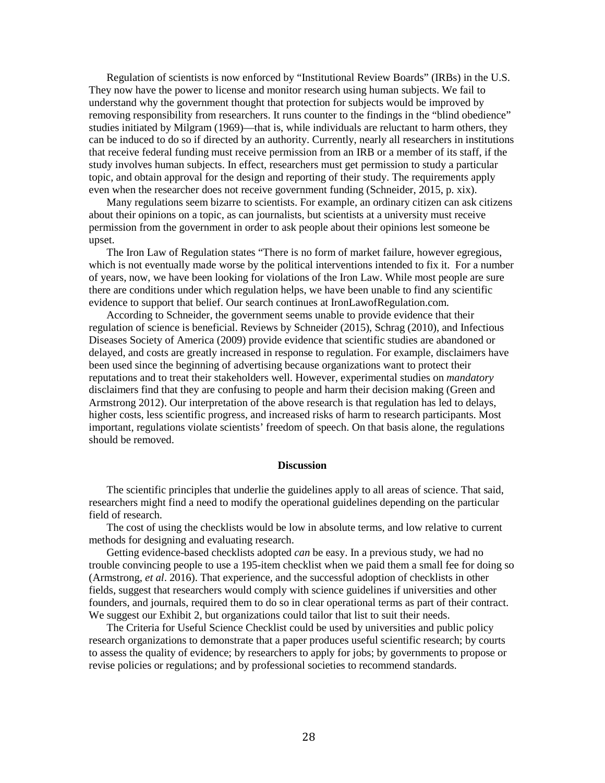Regulation of scientists is now enforced by "Institutional Review Boards" (IRBs) in the U.S. They now have the power to license and monitor research using human subjects. We fail to understand why the government thought that protection for subjects would be improved by removing responsibility from researchers. It runs counter to the findings in the "blind obedience" studies initiated by Milgram (1969)—that is, while individuals are reluctant to harm others, they can be induced to do so if directed by an authority. Currently, nearly all researchers in institutions that receive federal funding must receive permission from an IRB or a member of its staff, if the study involves human subjects. In effect, researchers must get permission to study a particular topic, and obtain approval for the design and reporting of their study. The requirements apply even when the researcher does not receive government funding (Schneider, 2015, p. xix).

Many regulations seem bizarre to scientists. For example, an ordinary citizen can ask citizens about their opinions on a topic, as can journalists, but scientists at a university must receive permission from the government in order to ask people about their opinions lest someone be upset.

The Iron Law of Regulation states "There is no form of market failure, however egregious, which is not eventually made worse by the political interventions intended to fix it. For a number of years, now, we have been looking for violations of the Iron Law. While most people are sure there are conditions under which regulation helps, we have been unable to find any scientific evidence to support that belief. Our search continues at IronLawofRegulation.com.

According to Schneider, the government seems unable to provide evidence that their regulation of science is beneficial. Reviews by Schneider (2015), Schrag (2010), and Infectious Diseases Society of America (2009) provide evidence that scientific studies are abandoned or delayed, and costs are greatly increased in response to regulation. For example, disclaimers have been used since the beginning of advertising because organizations want to protect their reputations and to treat their stakeholders well. However, experimental studies on *mandatory* disclaimers find that they are confusing to people and harm their decision making (Green and Armstrong 2012). Our interpretation of the above research is that regulation has led to delays, higher costs, less scientific progress, and increased risks of harm to research participants. Most important, regulations violate scientists' freedom of speech. On that basis alone, the regulations should be removed.

#### **Discussion**

The scientific principles that underlie the guidelines apply to all areas of science. That said, researchers might find a need to modify the operational guidelines depending on the particular field of research.

The cost of using the checklists would be low in absolute terms, and low relative to current methods for designing and evaluating research.

Getting evidence-based checklists adopted *can* be easy. In a previous study, we had no trouble convincing people to use a 195-item checklist when we paid them a small fee for doing so (Armstrong, *et al*. 2016). That experience, and the successful adoption of checklists in other fields, suggest that researchers would comply with science guidelines if universities and other founders, and journals, required them to do so in clear operational terms as part of their contract. We suggest our Exhibit 2, but organizations could tailor that list to suit their needs.

The Criteria for Useful Science Checklist could be used by universities and public policy research organizations to demonstrate that a paper produces useful scientific research; by courts to assess the quality of evidence; by researchers to apply for jobs; by governments to propose or revise policies or regulations; and by professional societies to recommend standards.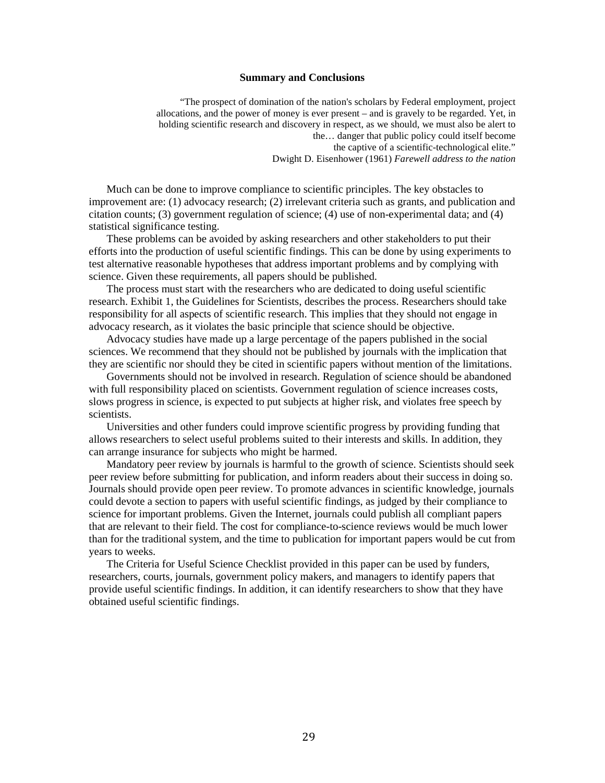#### **Summary and Conclusions**

"The prospect of domination of the nation's scholars by Federal employment, project allocations, and the power of money is ever present – and is gravely to be regarded. Yet, in holding scientific research and discovery in respect, as we should, we must also be alert to the… danger that public policy could itself become the captive of a scientific-technological elite."

Dwight D. Eisenhower (1961) *Farewell address to the nation*

Much can be done to improve compliance to scientific principles. The key obstacles to improvement are: (1) advocacy research; (2) irrelevant criteria such as grants, and publication and citation counts; (3) government regulation of science; (4) use of non-experimental data; and (4) statistical significance testing.

These problems can be avoided by asking researchers and other stakeholders to put their efforts into the production of useful scientific findings. This can be done by using experiments to test alternative reasonable hypotheses that address important problems and by complying with science. Given these requirements, all papers should be published.

The process must start with the researchers who are dedicated to doing useful scientific research. Exhibit 1, the Guidelines for Scientists, describes the process. Researchers should take responsibility for all aspects of scientific research. This implies that they should not engage in advocacy research, as it violates the basic principle that science should be objective.

Advocacy studies have made up a large percentage of the papers published in the social sciences. We recommend that they should not be published by journals with the implication that they are scientific nor should they be cited in scientific papers without mention of the limitations.

Governments should not be involved in research. Regulation of science should be abandoned with full responsibility placed on scientists. Government regulation of science increases costs, slows progress in science, is expected to put subjects at higher risk, and violates free speech by scientists.

Universities and other funders could improve scientific progress by providing funding that allows researchers to select useful problems suited to their interests and skills. In addition, they can arrange insurance for subjects who might be harmed.

Mandatory peer review by journals is harmful to the growth of science. Scientists should seek peer review before submitting for publication, and inform readers about their success in doing so. Journals should provide open peer review. To promote advances in scientific knowledge, journals could devote a section to papers with useful scientific findings, as judged by their compliance to science for important problems. Given the Internet, journals could publish all compliant papers that are relevant to their field. The cost for compliance-to-science reviews would be much lower than for the traditional system, and the time to publication for important papers would be cut from years to weeks.

The Criteria for Useful Science Checklist provided in this paper can be used by funders, researchers, courts, journals, government policy makers, and managers to identify papers that provide useful scientific findings. In addition, it can identify researchers to show that they have obtained useful scientific findings.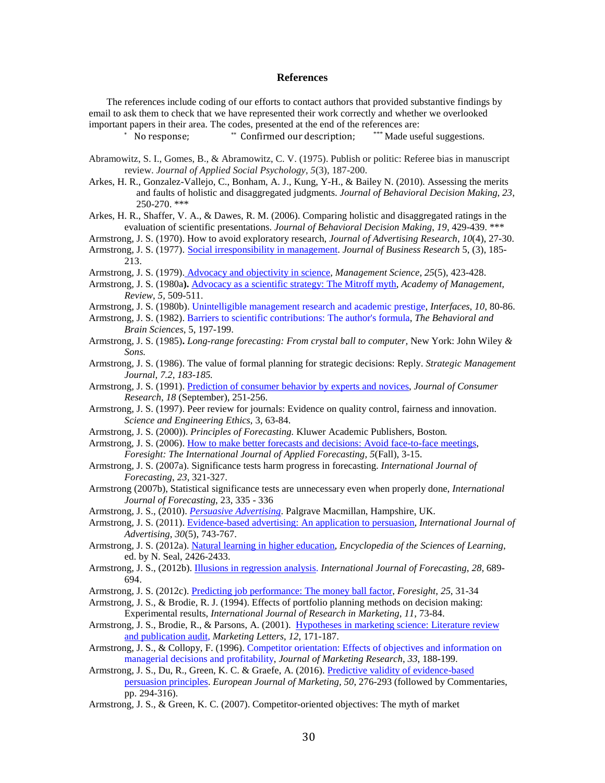#### **References**

The references include coding of our efforts to contact authors that provided substantive findings by email to ask them to check that we have represented their work correctly and whether we overlooked important papers in their area. The codes, presented at the end of the references are:

\* No response; \*\*\* Confirmed our description; \*\*\* Made useful suggestions.

- Abramowitz, S. I., Gomes, B., & Abramowitz, C. V. (1975). Publish or politic: Referee bias in manuscript review. *Journal of Applied Social Psychology*, *5*(3), 187-200.
- Arkes, H. R., Gonzalez-Vallejo, C., Bonham, A. J., Kung, Y-H., & Bailey N. (2010). Assessing the merits and faults of holistic and disaggregated judgments. *Journal of Behavioral Decision Making*, *23*, 250-270. \*\*\*
- Arkes, H. R., Shaffer, V. A., & Dawes, R. M. (2006). Comparing holistic and disaggregated ratings in the evaluation of scientific presentations. *Journal of Behavioral Decision Making*, *19*, 429-439. \*\*\*
- Armstrong, J. S. (1970). How to avoid exploratory research, *Journal of Advertising Research*, *10*(4), 27-30. Armstrong, J. S. (1977). [Social irresponsibility in management.](https://scholar.google.com/citations?view_op=view_citation&hl=en&user=XG9ZedQAAAAJ&cstart=300&pagesize=100&sortby=pubdate&citation_for_view=XG9ZedQAAAAJ:hqOjcs7Dif8C) *Journal of Business Research* 5, (3), 185-
- 213.
- Armstrong, J. S. (1979). [Advocacy and objectivity in science,](http://www.forecastingprinciples.com/paperpdf/Advocacy%20and%20Objectivity.pdf) *Management Science*, *25*(5), 423-428.
- Armstrong, J. S. (1980a**).** [Advocacy as a scientific strategy: The Mitroff myth,](https://scholar.google.com/citations?view_op=view_citation&hl=en&user=XG9ZedQAAAAJ&cstart=300&pagesize=100&sortby=pubdate&citation_for_view=XG9ZedQAAAAJ:g5m5HwL7SMYC) *Academy of Management, Review*, *5*, 509-511.
- Armstrong, J. S. (1980b). Unintelligible management research and academic prestige, *Interfaces, 10*, 80-86.
- Armstrong, J. S. (1982). Barriers to scientific contributions: The author's formula, *The Behavioral and Brain Sciences*, 5, 197-199.
- Armstrong, J. S. (1985)**.** *Long-range forecasting: From crystal ball to computer,* New York: John Wiley *& Sons.*
- Armstrong, J. S. (1986). The value of formal planning for strategic decisions: Reply. *Strategic Management Journal, 7.2, 183-185.*
- Armstrong, J. S. (1991)[. Prediction of consumer behavior by experts and novices,](https://marketing.wharton.upenn.edu/files/?whdmsaction=public:main.file&fileID=754) *Journal of Consumer Research, 18* (September)*,* 251-256.
- Armstrong, J. S. (1997). Peer review for journals: Evidence on quality control, fairness and innovation. *Science and Engineering Ethics*, 3, 63-84.
- Armstrong, J. S. (2000)). *Principles of Forecasting.* Kluwer Academic Publishers, Boston*.*
- Armstrong, J. S. (2006)[. How to make better forecasts and decisions: Avoid face-to-face meetings,](http://dl.dropbox.com/u/9686940/armstrong/WisdomofCrowds2.pdf)  *Foresight: The International Journal of Applied Forecasting*, *5*(Fall), 3-15.
- Armstrong, J. S. (2007a). Significance tests harm progress in forecasting. *International Journal of Forecasting*, *23*, 321-327.
- Armstrong (2007b), Statistical significance tests are unnecessary even when properly done, *International Journal of Forecasting*, 23, 335 - 336
- Armstrong, J. S., (2010). *[Persuasive Advertising](http://www.advertisingprinciples.com/books-on-advertising?id=77)*. Palgrave Macmillan, Hampshire, UK.
- Armstrong, J. S. (2011)[. Evidence-based advertising: An application to persuasion,](https://marketing.wharton.upenn.edu/files/?whdmsaction=public:main.file&fileID=802) *International Journal of Advertising*, *30*(5), 743-767.
- Armstrong, J. S. (2012a). [Natural learning in higher education,](https://marketing.wharton.upenn.edu/files/?whdmsaction=public:main.file&fileID=8113) *Encyclopedia of the Sciences of Learning*, ed. by N. Seal, 2426-2433.
- Armstrong, J. S., (2012b). [Illusions in regression analysis.](https://marketing.wharton.upenn.edu/files/?whdmsaction=public:main.file&fileID=4403) *International Journal of Forecasting*, *28,* 689- 694.
- Armstrong, J. S. (2012c). [Predicting job performance: The money ball factor,](https://www.researchgate.net/profile/J_Armstrong2/publication/254416540_Predicting_Job_Performance_The_Moneyball_Factor/links/0046352826eef7b0cc000000.pdf) *Foresight, 25*, 31-34
- Armstrong, J. S., & Brodie, R. J. (1994). Effects of portfolio planning methods on decision making: Experimental results, *International Journal of Research in Marketing, 11*, 73-84.
- Armstrong, J. S., Brodie, R., & Parsons, A. (2001). Hypotheses in marketing science: Literature review [and publication audit,](http://www.forecastingprinciples.com/paperpdf/Hypotheses%20in%20Marketing%20Science.pdf) *Marketing Letters*, *12*, 171-187.
- Armstrong, J. S., & Collopy, F. (1996). Competitor orientation: Effects of objectives and information on managerial decisions and profitability, *Journal of Marketing Research*, *33*, 188-199.
- Armstrong, J. S., Du, R., Green, K. C. & Graefe, A. (2016). [Predictive validity of evidence-based](http://repository.upenn.edu/cgi/viewcontent.cgi?article=1152&context=marketing_papers)  [persuasion principles.](http://repository.upenn.edu/cgi/viewcontent.cgi?article=1152&context=marketing_papers) *European Journal of Marketing, 50*, 276-293 (followed by Commentaries, pp. 294-316).
- Armstrong, J. S., & Green, K. C. (2007). Competitor-oriented objectives: The myth of market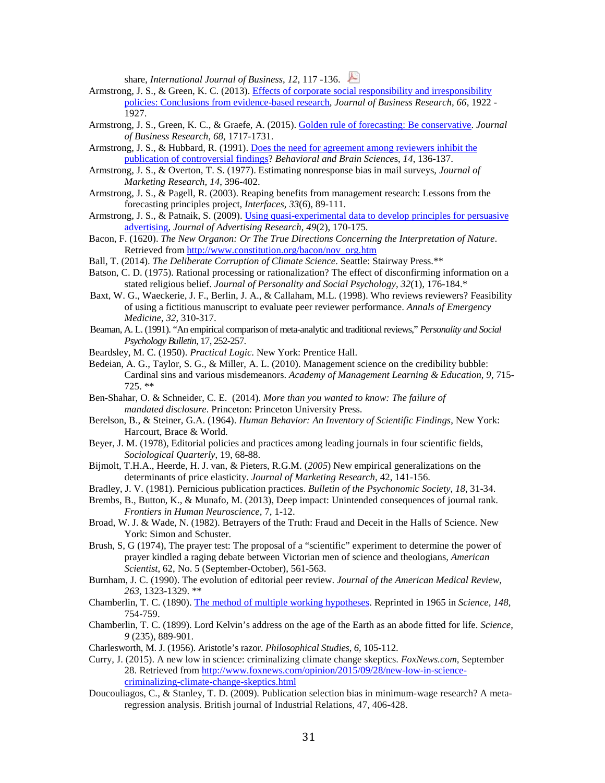share, *International Journal of Business*, *12*, 117 -136.

- Armstrong, J. S., & Green, K. C. (2013)[. Effects of corporate social responsibility and irresponsibility](https://marketing.wharton.upenn.edu/files/?whdmsaction=public:main.file&fileID=7183)  [policies: Conclusions from evidence-based research,](https://marketing.wharton.upenn.edu/files/?whdmsaction=public:main.file&fileID=7183) *Journal of Business Research*, *66*, 1922 - 1927.
- Armstrong, J. S., Green, K. C., & Graefe, A. (2015)[. Golden rule of forecasting: Be conservative.](http://www.kestencgreen.com/GoldenRule.pdf) *Journal of Business Research*, *68*, 1717-1731.
- Armstrong, J. S., & Hubbard, R. (1991). [Does the need for agreement among reviewers inhibit the](https://www.google.com/url?sa=t&rct=j&q=&esrc=s&source=web&cd=1&ved=0ahUKEwiNu47ohdDLAhVIeT4KHbk7ANMQFggdMAA&url=http%3A%2F%2Frepository.upenn.edu%2Fcgi%2Fviewcontent.cgi%3Farticle%3D1117%26context%3Dmarketing_papers&usg=AFQjCNGzvFOJLWtIvjjFeiC3jv)  [publication of controversial findings?](https://www.google.com/url?sa=t&rct=j&q=&esrc=s&source=web&cd=1&ved=0ahUKEwiNu47ohdDLAhVIeT4KHbk7ANMQFggdMAA&url=http%3A%2F%2Frepository.upenn.edu%2Fcgi%2Fviewcontent.cgi%3Farticle%3D1117%26context%3Dmarketing_papers&usg=AFQjCNGzvFOJLWtIvjjFeiC3jv) *Behavioral and Brain Science*s, *14*, 136-137.
- Armstrong, J. S., & Overton, T. S. (1977). Estimating nonresponse bias in mail surveys, *Journal of Marketing Research, 14*, 396-402.
- Armstrong, J. S., & Pagell, R. (2003). Reaping benefits from management research: Lessons from the forecasting principles project, *Interfaces*, *33*(6), 89-111.
- Armstrong, J. S., & Patnaik, S. (2009). [Using quasi-experimental data to develop principles for persuasive](https://marketing.wharton.upenn.edu/files/?whdmsaction=public:main.file&fileID=783)  [advertising,](https://marketing.wharton.upenn.edu/files/?whdmsaction=public:main.file&fileID=783) *Journal of Advertising Research*, *49*(2), 170-175.
- Bacon, F. (1620). *The New Organon: Or The True Directions Concerning the Interpretation of Nature*. Retrieved from [http://www.constitution.org/bacon/nov\\_org.htm](http://www.constitution.org/bacon/nov_org.htm)
- Ball, T. (2014). *The Deliberate Corruption of Climate Science*. Seattle: Stairway Press.\*\*
- Batson, C. D. (1975). Rational processing or rationalization? The effect of disconfirming information on a stated religious belief. *Journal of Personality and Social Psychology*, *32*(1), 176-184.\*
- Baxt, W. G., Waeckerie, J. F., Berlin, J. A., & Callaham, M.L. (1998). Who reviews reviewers? Feasibility of using a fictitious manuscript to evaluate peer reviewer performance. *Annals of Emergency Medicine*, *32*, 310-317.
- Beaman, A. L. (1991). "An empirical comparison of meta-analytic and traditional reviews," *Personality and Social Psychology Bulletin*, 17, 252-257.
- Beardsley, M. C. (1950). *Practical Logic*. New York: Prentice Hall.
- Bedeian, A. G., Taylor, S. G., & Miller, A. L. (2010). Management science on the credibility bubble: Cardinal sins and various misdemeanors. *Academy of Management Learning & Education*, *9*, 715- 725. \*\*
- Ben-Shahar, O. & Schneider, C. E. (2014). *More than you wanted to know: The failure of mandated disclosure*. Princeton: Princeton University Press.
- Berelson, B., & Steiner, G.A. (1964). *Human Behavior: An Inventory of Scientific Findings*, New York: Harcourt, Brace & World.
- Beyer, J. M. (1978), Editorial policies and practices among leading journals in four scientific fields, *Sociological Quarterly*, 19, 68-88.
- Bijmolt, T.H.A., Heerde, H. J. van, & Pieters, R.G.M. (*2005*) New empirical generalizations on the determinants of price elasticity. *Journal of Marketing Research,* 42, 141-156.
- Bradley, J. V. (1981). Pernicious publication practices. *Bulletin of the Psychonomic Society*, *18*, 31-34.
- Brembs, B., Button, K., & Munafo, M. (2013), Deep impact: Unintended consequences of journal rank. *Frontiers in Human Neuroscience,* 7, 1-12.
- Broad, W. J. & Wade, N. (1982). Betrayers of the Truth: Fraud and Deceit in the Halls of Science. New York: Simon and Schuster.
- Brush, S, G (1974), The prayer test: The proposal of a "scientific" experiment to determine the power of prayer kindled a raging debate between Victorian men of science and theologians, *American Scientist*, 62, No. 5 (September-October), 561-563.
- Burnham, J. C. (1990). The evolution of editorial peer review. *Journal of the American Medical Review*, *263*, 1323-1329. \*\*
- Chamberlin, T. C. (1890)[. The method of multiple working hypotheses.](http://warnercnr.colostate.edu/%7Eanderson/PDF_files/Method.pdf) Reprinted in 1965 in *Science, 148,*  754-759.
- Chamberlin, T. C. (1899). Lord Kelvin's address on the age of the Earth as an abode fitted for life. *Science*, *9* (235), 889-901.
- Charlesworth, M. J. (1956). Aristotle's razor. *Philosophical Studies*, *6*, 105-112.
- Curry, J. (2015). A new low in science: criminalizing climate change skeptics. *FoxNews.com*, September 28. Retrieved from [http://www.foxnews.com/opinion/2015/09/28/new-low-in-science](http://www.foxnews.com/opinion/2015/09/28/new-low-in-science-criminalizing-climate-change-skeptics.html)[criminalizing-climate-change-skeptics.html](http://www.foxnews.com/opinion/2015/09/28/new-low-in-science-criminalizing-climate-change-skeptics.html)
- Doucouliagos, C., & Stanley, T. D. (2009). Publication selection bias in minimum-wage research? A metaregression analysis. British journal of Industrial Relations, 47, 406-428.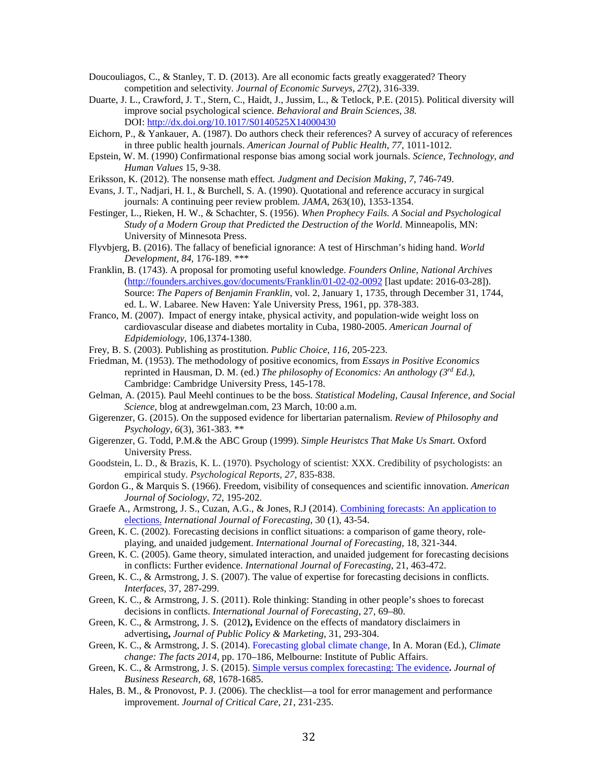- Doucouliagos, C., & Stanley, T. D. (2013). Are all economic facts greatly exaggerated? Theory competition and selectivity. *Journal of Economic Surveys*, *27*(2), 316-339.
- Duarte, J. L., Crawford, J. T., Stern, C., Haidt, J., Jussim, L., & Tetlock, P.E. (2015). Political diversity will improve social psychological science. *Behavioral and Brain Sciences*, *38.* DOI:<http://dx.doi.org/10.1017/S0140525X14000430>
- Eichorn, P., & Yankauer, A. (1987). Do authors check their references? A survey of accuracy of references in three public health journals. *American Journal of Public Health*, *77*, 1011-1012.
- Epstein, W. M. (1990) Confirmational response bias among social work journals. *Science, Technology, and Human Values* 15, 9-38.
- Eriksson, K. (2012). The nonsense math effect*. Judgment and Decision Making*, *7*, 746-749.
- Evans, J. T., Nadjari, H. I., & Burchell, S. A. (1990). Quotational and reference accuracy in surgical journals: A continuing peer review problem. *JAMA*, 263(10), 1353-1354.
- Festinger, L., Rieken, H. W., & Schachter, S. (1956). *When Prophecy Fails. A Social and Psychological Study of a Modern Group that Predicted the Destruction of the World*. Minneapolis, MN: University of Minnesota Press.
- Flyvbjerg, B. (2016). The fallacy of beneficial ignorance: A test of Hirschman's hiding hand. *World Development*, *84*, 176-189. \*\*\*
- Franklin, B. (1743). A proposal for promoting useful knowledge. *Founders Online, National Archives* [\(http://founders.archives.gov/documents/Franklin/01-02-02-0092](http://founders.archives.gov/documents/Franklin/01-02-02-0092) [last update: 2016-03-28]). Source: *The Papers of Benjamin Franklin*, vol. 2, January 1, 1735, through December 31, 1744, ed. L. W. Labaree. New Haven: Yale University Press, 1961, pp. 378-383.
- Franco, M. (2007). Impact of energy intake, physical activity, and population-wide weight loss on cardiovascular disease and diabetes mortality in Cuba, 1980-2005. *American Journal of Edpidemiology*, 106,1374-1380.
- Frey, B. S. (2003). Publishing as prostitution. *Public Choice, 116*, 205-223.
- Friedman, M. (1953). The methodology of positive economics, from *Essays in Positive Economics* reprinted in Hausman, D. M. (ed.) *The philosophy of Economics: An anthology (3rd Ed.)*, Cambridge: Cambridge University Press, 145-178.
- Gelman, A. (2015). Paul Meehl continues to be the boss. *Statistical Modeling, Causal Inference, and Social Science*, blog at andrewgelman.com, 23 March, 10:00 a.m.
- Gigerenzer, G. (2015). On the supposed evidence for libertarian paternalism. *Review of Philosophy and Psychology*, *6*(3), 361-383. \*\*
- Gigerenzer, G. Todd, P.M.& the ABC Group (1999). *Simple Heuristcs That Make Us Smart.* Oxford University Press.
- Goodstein, L. D., & Brazis, K. L. (1970). Psychology of scientist: XXX. Credibility of psychologists: an empirical study. *Psychological Reports*, *27*, 835-838.
- Gordon G., & Marquis S. (1966). Freedom, visibility of consequences and scientific innovation. *American Journal of Sociology*, *72*, 195-202.
- Graefe A., Armstrong, J. S., Cuzan, A.G., & Jones, R.J (2014)[. Combining forecasts: An application to](http://www.sciencedirect.com/science/article/pii/S0169207013000423)  [elections.](http://www.sciencedirect.com/science/article/pii/S0169207013000423) *International Journal of Forecasting*, 30 (1), 43-54.
- Green, K. C. (2002). Forecasting decisions in conflict situations: a comparison of game theory, roleplaying, and unaided judgement. *International Journal of Forecasting*, 18, 321-344.
- Green, K. C. (2005). Game theory, simulated interaction, and unaided judgement for forecasting decisions in conflicts: Further evidence. *International Journal of Forecasting*, 21, 463-472.
- Green, K. C., & Armstrong, J. S. (2007). The value of expertise for forecasting decisions in conflicts. *Interfaces*, 37, 287-299.
- Green, K. C., & Armstrong, J. S. (2011). Role thinking: Standing in other people's shoes to forecast decisions in conflicts. *International Journal of Forecasting*, 27, 69–80.
- Green, K. C., & Armstrong, J. S. (2012**),** Evidence on the effects of mandatory disclaimers in advertising**,** *Journal of Public Policy & Marketing*, 31, 293-304.
- Green, K. C., & Armstrong, J. S. (2014). Forecasting global climate change, In A. Moran (Ed.), *Climate change: The facts 2014*, pp. 170–186, Melbourne: Institute of Public Affairs.
- Green, K. C., & Armstrong, J. S. (2015)[. Simple versus complex forecasting: The evidence](http://www.sciencedirect.com/science/article/pii/S014829631500140X)**.** *Journal of Business Research*, *68*, 1678-1685.
- Hales, B. M., & Pronovost, P. J. (2006). The checklist—a tool for error management and performance improvement. *Journal of Critical Care*, *21*, 231-235.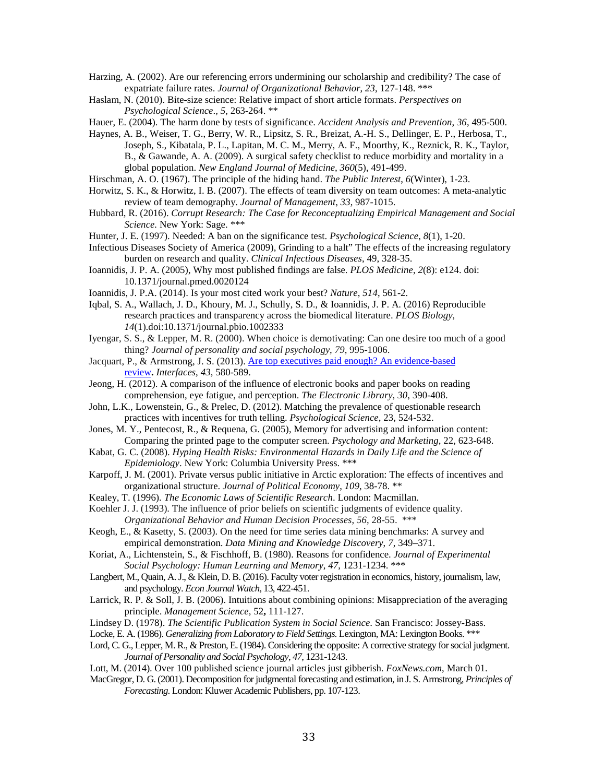- Harzing, A. (2002). Are our referencing errors undermining our scholarship and credibility? The case of expatriate failure rates. *Journal of Organizational Behavior*, *23*, 127-148. \*\*\*
- Haslam, N. (2010). Bite-size science: Relative impact of short article formats. *Perspectives on Psychological Science*.*, 5*, 263-264. \*\*
- Hauer, E. (2004). The harm done by tests of significance. *Accident Analysis and Prevention*, *36*, 495-500.
- Haynes, A. B., Weiser, T. G., Berry, W. R., Lipsitz, S. R., Breizat, A.-H. S., Dellinger, E. P., Herbosa, T., Joseph, S., Kibatala, P. L., Lapitan, M. C. M., Merry, A. F., Moorthy, K., Reznick, R. K., Taylor, B., & Gawande, A. A. (2009). A surgical safety checklist to reduce morbidity and mortality in a global population. *New England Journal of Medicine, 360*(5), 491-499.
- Hirschman, A. O. (1967). The principle of the hiding hand. *The Public Interest*, *6*(Winter), 1-23.
- Horwitz, S. K., & Horwitz, I. B. (2007). The effects of team diversity on team outcomes: A meta-analytic review of team demography. *Journal of Management*, *33*, 987-1015.
- Hubbard, R. (2016). *Corrupt Research: The Case for Reconceptualizing Empirical Management and Social Science.* New York: Sage. \*\*\*
- Hunter, J. E. (1997). Needed: A ban on the significance test. *Psychological Science*, *8*(1), 1-20.
- Infectious Diseases Society of America (2009), Grinding to a halt" The effects of the increasing regulatory burden on research and quality. *Clinical Infectious Diseases*, 49, 328-35.
- Ioannidis, J. P. A. (2005), Why most published findings are false. *PLOS Medicine*, *2*(8): e124. doi: 10.1371/journal.pmed.0020124
- Ioannidis, J. P.A. (2014). Is your most cited work your best? *Nature*, *514*, 561-2.
- Iqbal, S. A., Wallach, J. D., Khoury, M. J., Schully, S. D., & Ioannidis, J. P. A. (2016) Reproducible research practices and transparency across the biomedical literature. *PLOS Biology*, *14*(1).doi:10.1371/journal.pbio.1002333
- Iyengar, S. S., & Lepper, M. R. (2000). When choice is demotivating: Can one desire too much of a good thing? *Journal of personality and social psychology*, *79*, 995-1006.
- Jacquart, P., & Armstrong, J. S. (2013). Are top executives paid enough? An evidence-based [review](https://marketing.wharton.upenn.edu/files/?whdmsaction=public:main.file&fileID=7286)**.** *Interfaces*, *43*, 580-589.
- Jeong, H. (2012). A comparison of the influence of electronic books and paper books on reading comprehension, eye fatigue, and perception. *The Electronic Library*, *30*, 390-408.
- John, L.K., Lowenstein, G., & Prelec, D. (2012). Matching the prevalence of questionable research practices with incentives for truth telling. *Psychological Science*, 23, 524-532.
- Jones, M. Y., Pentecost, R., & Requena, G. (2005), Memory for advertising and information content: Comparing the printed page to the computer screen. *Psychology and Marketing*, 22, 623-648.
- Kabat, G. C. (2008). *Hyping Health Risks: Environmental Hazards in Daily Life and the Science of Epidemiology*. New York: Columbia University Press. \*\*\*
- Karpoff, J. M. (2001). Private versus public initiative in Arctic exploration: The effects of incentives and organizational structure. *Journal of Political Economy*, *109*, 38-78. \*\*
- Kealey, T. (1996). *The Economic Laws of Scientific Research*. London: Macmillan.
- Koehler J. J. (1993). The influence of prior beliefs on scientific judgments of evidence quality. *Organizational Behavior and Human Decision Processes*, *56*, 28-55. \*\*\*
- Keogh, E., & Kasetty, S. (2003). On the need for time series data mining benchmarks: A survey and empirical demonstration. *Data Mining and Knowledge Discovery*, *7*, 349–371.
- Koriat, A., Lichtenstein, S., & Fischhoff, B. (1980). Reasons for confidence. *Journal of Experimental Social Psychology: Human Learning and Memory*, *47*, 1231-1234. \*\*\*
- Langbert, M., Quain, A. J., & Klein, D. B. (2016). Faculty voter registration in economics, history, journalism, law, and psychology. *Econ Journal Watch*, 13, 422-451.
- Larrick, R. P. & Soll, J. B. (2006). Intuitions about combining opinions: Misappreciation of the averaging principle. *Management Science,* 52**,** 111-127.
- Lindsey D. (1978). *The Scientific Publication System in Social Science*. San Francisco: Jossey-Bass.
- Locke, E. A. (1986). *Generalizing from Laboratory to Field Settings.* Lexington, MA: Lexington Books. \*\*\*
- Lord, C. G., Lepper, M. R., & Preston, E. (1984). Considering the opposite: A corrective strategy for social judgment. *Journal of Personality and Social Psychology*, *47*, 1231-1243.
- Lott, M. (2014). Over 100 published science journal articles just gibberish. *FoxNews.com*, March 01.
- MacGregor, D. G. (2001). Decomposition for judgmental forecasting and estimation, in J. S. Armstrong, *Principles of Forecasting.* London: Kluwer Academic Publishers, pp. 107-123.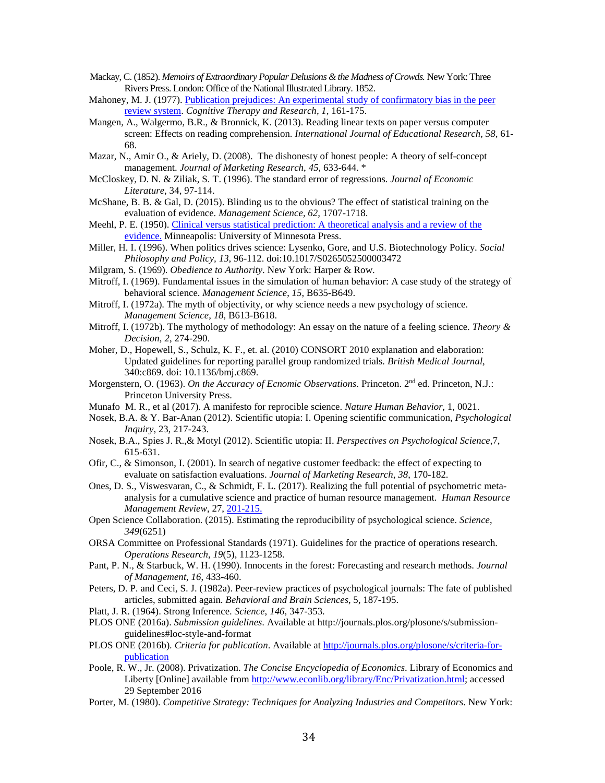- Mackay, C. (1852). *Memoirs of Extraordinary Popular Delusions & the Madness of Crowds.* New York: Three Rivers Press. London: Office of the National Illustrated Library. 1852.
- Mahoney, M. J. (1977). [Publication prejudices: An experimental study of confirmatory bias in the peer](http://pages.stern.nyu.edu/%7Ewstarbuc/Writing/Prejud.htm)  [review system.](http://pages.stern.nyu.edu/%7Ewstarbuc/Writing/Prejud.htm) *Cognitive Therapy and Research, 1,* 161-175.
- Mangen, A., Walgermo, B.R., & Bronnick, K. (2013). Reading linear texts on paper versus computer screen: Effects on reading comprehension. *International Journal of Educational Research*, *58*, 61- 68.
- Mazar, N., Amir O., & Ariely, D. (2008). The dishonesty of honest people: A theory of self-concept management. *Journal of Marketing Research*, *45*, 633-644. \*
- McCloskey, D. N. & Ziliak, S. T. (1996). The standard error of regressions. *Journal of Economic Literature*, 34, 97-114.
- McShane, B. B. & Gal, D. (2015). Blinding us to the obvious? The effect of statistical training on the evaluation of evidence. *Management Science, 62,* 1707-1718.
- Meehl, P. E. (1950). [Clinical versus statistical prediction: A theoretical analysis and a review of the](http://psycnet.apa.org/psycinfo/2006-21565-000)  [evidence.](http://psycnet.apa.org/psycinfo/2006-21565-000) Minneapolis: University of Minnesota Press.
- Miller, H. I. (1996). When politics drives science: Lysenko, Gore, and U.S. Biotechnology Policy. *Social Philosophy and Policy, 13*, 96-112. doi:10.1017/S0265052500003472
- Milgram, S. (1969). *Obedience to Authority*. New York: Harper & Row.
- Mitroff, I. (1969). Fundamental issues in the simulation of human behavior: A case study of the strategy of behavioral science. *Management Science*, *15*, B635-B649.
- Mitroff, I. (1972a). The myth of objectivity, or why science needs a new psychology of science. *Management Science*, *18*, B613-B618.
- Mitroff, I. (1972b). The mythology of methodology: An essay on the nature of a feeling science. *Theory & Decision*, *2*, 274-290.
- Moher, D., Hopewell, S., Schulz, K. F., et. al. (2010) CONSORT 2010 explanation and elaboration: Updated guidelines for reporting parallel group randomized trials. *British Medical Journal*, 340:c869. doi: 10.1136/bmj.c869.
- Morgenstern, O. (1963). *On the Accuracy of Ecnomic Observations*. Princeton. 2nd ed. Princeton, N.J.: Princeton University Press.
- Munafo M. R., et al (2017). A manifesto for reprocible science. *Nature Human Behavior*, 1, 0021.
- Nosek, B.A. & Y. Bar-Anan (2012). Scientific utopia: I. Opening scientific communication, *Psychological Inquiry*, 23, 217-243.
- Nosek, B.A., Spies J. R.,& Motyl (2012). Scientific utopia: II. *Perspectives on Psychological Science*,7, 615-631.
- Ofir, C., & Simonson, I. (2001). In search of negative customer feedback: the effect of expecting to evaluate on satisfaction evaluations. *Journal of Marketing Research*, *38*, 170-182.
- Ones, D. S., Viswesvaran, C., & Schmidt, F. L. (2017). Realizing the full potential of psychometric metaanalysis for a cumulative science and practice of human resource management. *Human Resource Management Review*, 27[, 201-215.](http://dx.doi.org/10.1016/j.hrmr.2016.09.011)
- Open Science Collaboration. (2015). Estimating the reproducibility of psychological science. *Science*, *349*(6251)
- ORSA Committee on Professional Standards (1971). Guidelines for the practice of operations research. *Operations Research*, *19*(5), 1123-1258.
- Pant, P. N., & Starbuck, W. H. (1990). Innocents in the forest: Forecasting and research methods. *Journal of Management*, *16*, 433-460.
- Peters, D. P. and Ceci, S. J. (1982a). Peer-review practices of psychological journals: The fate of published articles, submitted again. *Behavioral and Brain Sciences*, 5, 187-195.
- Platt, J. R. (1964). Strong Inference. *Science*, *146*, 347-353.
- PLOS ONE (2016a). *Submission guidelines*. Available at http://journals.plos.org/plosone/s/submissionguidelines#loc-style-and-format
- PLOS ONE (2016b). *Criteria for publication*. Available at [http://journals.plos.org/plosone/s/criteria-for](http://journals.plos.org/plosone/s/criteria-for-publication)[publication](http://journals.plos.org/plosone/s/criteria-for-publication)
- Poole, R. W., Jr. (2008). Privatization. *The Concise Encyclopedia of Economics*. Library of Economics and Liberty [Online] available from [http://www.econlib.org/library/Enc/Privatization.html;](http://www.econlib.org/library/Enc/Privatization.html) accessed 29 September 2016
- Porter, M. (1980). *Competitive Strategy: Techniques for Analyzing Industries and Competitors*. New York: